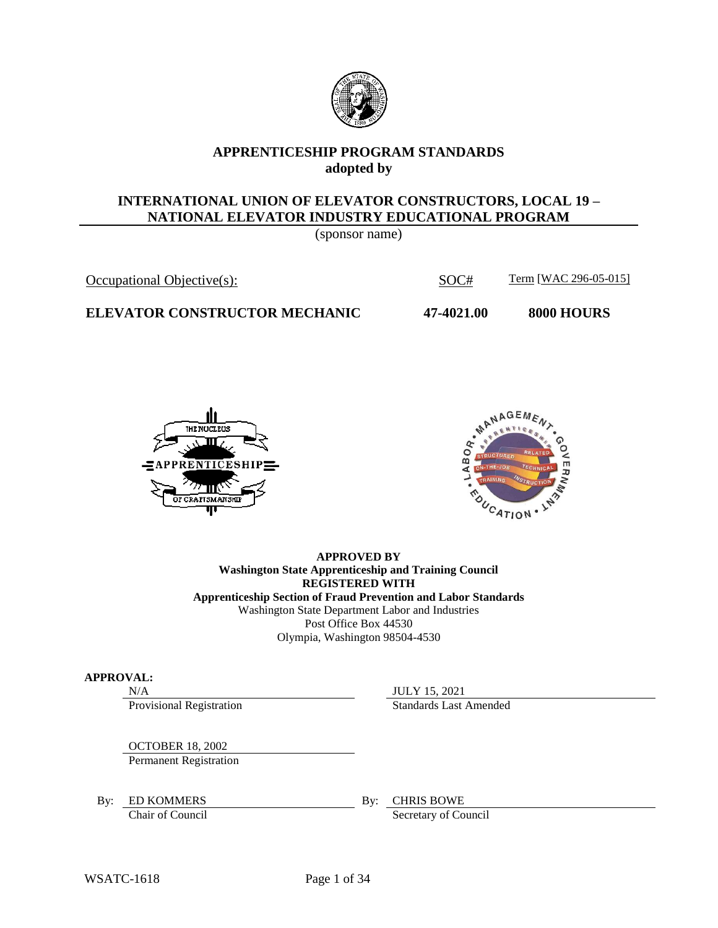

### **APPRENTICESHIP PROGRAM STANDARDS adopted by**

### **INTERNATIONAL UNION OF ELEVATOR CONSTRUCTORS, LOCAL 19 – NATIONAL ELEVATOR INDUSTRY EDUCATIONAL PROGRAM**

(sponsor name)

# Occupational Objective(s): SOC# Term [WAC 296-05-015]

**ELEVATOR CONSTRUCTOR MECHANIC 47-4021.00 8000 HOURS**





#### **APPROVED BY Washington State Apprenticeship and Training Council REGISTERED WITH Apprenticeship Section of Fraud Prevention and Labor Standards** Washington State Department Labor and Industries Post Office Box 44530 Olympia, Washington 98504-4530

#### **APPROVAL:**

Provisional Registration Standards Last Amended

N/A JULY 15, 2021

OCTOBER 18, 2002

Permanent Registration

By: ED KOMMERS By: CHRIS BOWE

Chair of Council Secretary of Council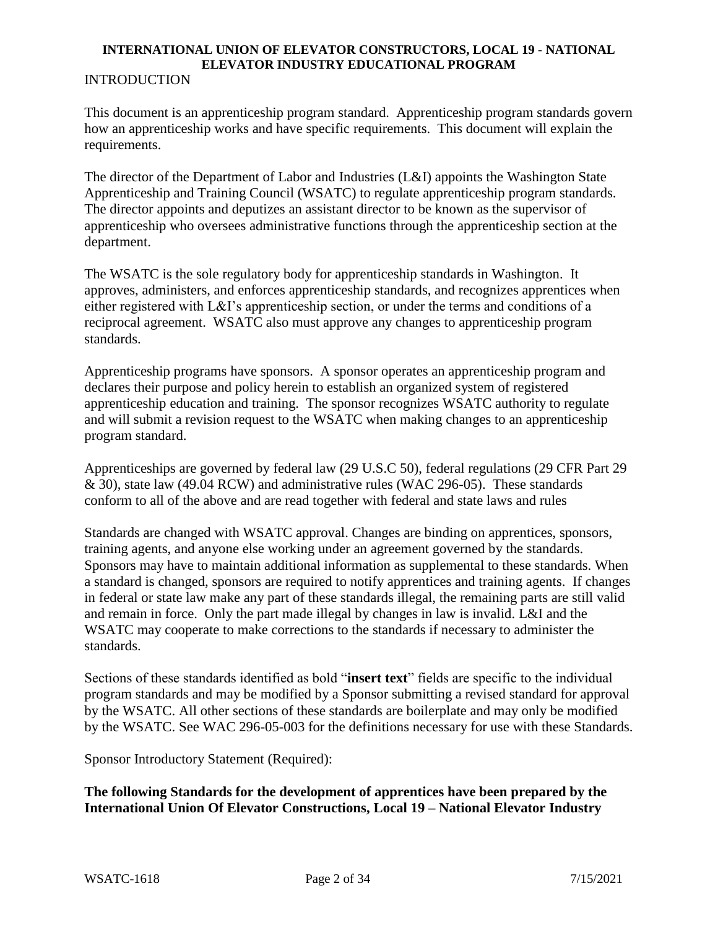# **INTRODUCTION**

This document is an apprenticeship program standard. Apprenticeship program standards govern how an apprenticeship works and have specific requirements. This document will explain the requirements.

The director of the Department of Labor and Industries (L&I) appoints the Washington State Apprenticeship and Training Council (WSATC) to regulate apprenticeship program standards. The director appoints and deputizes an assistant director to be known as the supervisor of apprenticeship who oversees administrative functions through the apprenticeship section at the department.

The WSATC is the sole regulatory body for apprenticeship standards in Washington. It approves, administers, and enforces apprenticeship standards, and recognizes apprentices when either registered with L&I's apprenticeship section, or under the terms and conditions of a reciprocal agreement. WSATC also must approve any changes to apprenticeship program standards.

Apprenticeship programs have sponsors. A sponsor operates an apprenticeship program and declares their purpose and policy herein to establish an organized system of registered apprenticeship education and training. The sponsor recognizes WSATC authority to regulate and will submit a revision request to the WSATC when making changes to an apprenticeship program standard.

Apprenticeships are governed by federal law (29 U.S.C 50), federal regulations (29 CFR Part 29 & 30), state law (49.04 RCW) and administrative rules (WAC 296-05). These standards conform to all of the above and are read together with federal and state laws and rules

Standards are changed with WSATC approval. Changes are binding on apprentices, sponsors, training agents, and anyone else working under an agreement governed by the standards. Sponsors may have to maintain additional information as supplemental to these standards. When a standard is changed, sponsors are required to notify apprentices and training agents. If changes in federal or state law make any part of these standards illegal, the remaining parts are still valid and remain in force. Only the part made illegal by changes in law is invalid. L&I and the WSATC may cooperate to make corrections to the standards if necessary to administer the standards.

Sections of these standards identified as bold "**insert text**" fields are specific to the individual program standards and may be modified by a Sponsor submitting a revised standard for approval by the WSATC. All other sections of these standards are boilerplate and may only be modified by the WSATC. See WAC 296-05-003 for the definitions necessary for use with these Standards.

Sponsor Introductory Statement (Required):

**The following Standards for the development of apprentices have been prepared by the International Union Of Elevator Constructions, Local 19 – National Elevator Industry**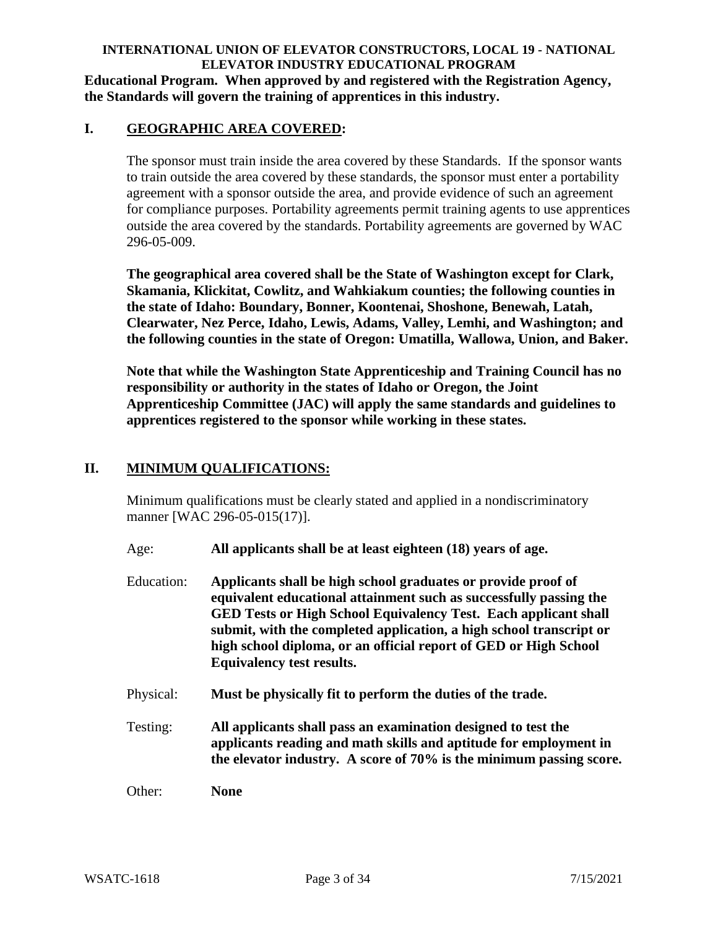#### **INTERNATIONAL UNION OF ELEVATOR CONSTRUCTORS, LOCAL 19 - NATIONAL ELEVATOR INDUSTRY EDUCATIONAL PROGRAM Educational Program. When approved by and registered with the Registration Agency, the Standards will govern the training of apprentices in this industry.**

## **I. GEOGRAPHIC AREA COVERED:**

The sponsor must train inside the area covered by these Standards. If the sponsor wants to train outside the area covered by these standards, the sponsor must enter a portability agreement with a sponsor outside the area, and provide evidence of such an agreement for compliance purposes. Portability agreements permit training agents to use apprentices outside the area covered by the standards. Portability agreements are governed by WAC 296-05-009.

**The geographical area covered shall be the State of Washington except for Clark, Skamania, Klickitat, Cowlitz, and Wahkiakum counties; the following counties in the state of Idaho: Boundary, Bonner, Koontenai, Shoshone, Benewah, Latah, Clearwater, Nez Perce, Idaho, Lewis, Adams, Valley, Lemhi, and Washington; and the following counties in the state of Oregon: Umatilla, Wallowa, Union, and Baker.**

**Note that while the Washington State Apprenticeship and Training Council has no responsibility or authority in the states of Idaho or Oregon, the Joint Apprenticeship Committee (JAC) will apply the same standards and guidelines to apprentices registered to the sponsor while working in these states.**

### **II. MINIMUM QUALIFICATIONS:**

Minimum qualifications must be clearly stated and applied in a nondiscriminatory manner [WAC 296-05-015(17)].

- Age: **All applicants shall be at least eighteen (18) years of age.**
- Education: **Applicants shall be high school graduates or provide proof of equivalent educational attainment such as successfully passing the GED Tests or High School Equivalency Test. Each applicant shall submit, with the completed application, a high school transcript or high school diploma, or an official report of GED or High School Equivalency test results.**
- Physical: **Must be physically fit to perform the duties of the trade.**
- Testing: **All applicants shall pass an examination designed to test the applicants reading and math skills and aptitude for employment in the elevator industry. A score of 70% is the minimum passing score.**

Other: **None**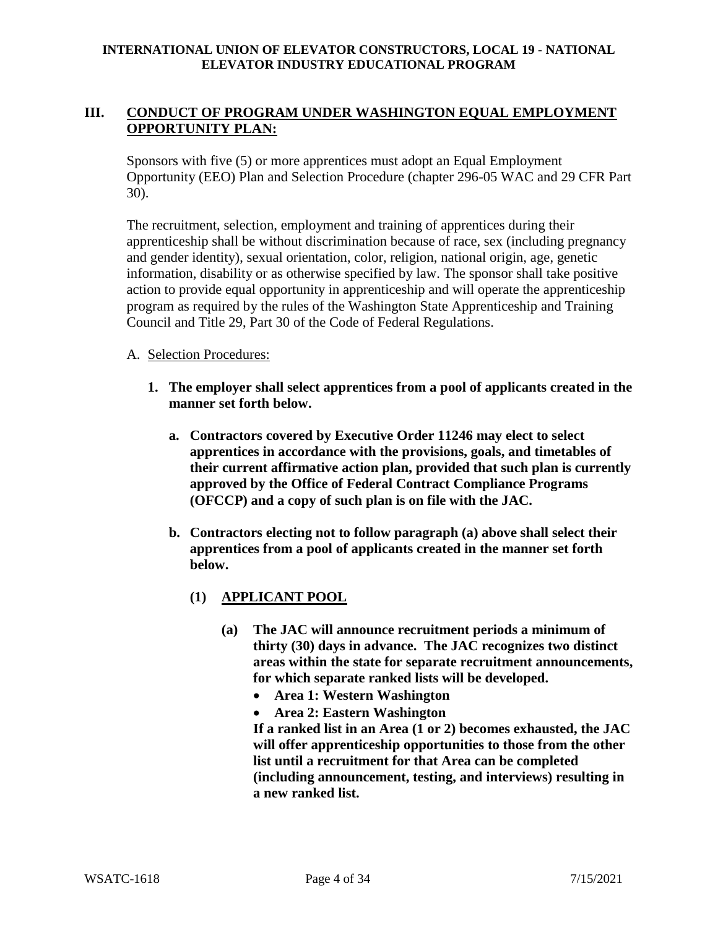# **III. CONDUCT OF PROGRAM UNDER WASHINGTON EQUAL EMPLOYMENT OPPORTUNITY PLAN:**

Sponsors with five (5) or more apprentices must adopt an Equal Employment Opportunity (EEO) Plan and Selection Procedure (chapter 296-05 WAC and 29 CFR Part 30).

The recruitment, selection, employment and training of apprentices during their apprenticeship shall be without discrimination because of race, sex (including pregnancy and gender identity), sexual orientation, color, religion, national origin, age, genetic information, disability or as otherwise specified by law. The sponsor shall take positive action to provide equal opportunity in apprenticeship and will operate the apprenticeship program as required by the rules of the Washington State Apprenticeship and Training Council and Title 29, Part 30 of the Code of Federal Regulations.

### A. Selection Procedures:

- **1. The employer shall select apprentices from a pool of applicants created in the manner set forth below.**
	- **a. Contractors covered by Executive Order 11246 may elect to select apprentices in accordance with the provisions, goals, and timetables of their current affirmative action plan, provided that such plan is currently approved by the Office of Federal Contract Compliance Programs (OFCCP) and a copy of such plan is on file with the JAC.**
	- **b. Contractors electing not to follow paragraph (a) above shall select their apprentices from a pool of applicants created in the manner set forth below.**
		- **(1) APPLICANT POOL**
			- **(a) The JAC will announce recruitment periods a minimum of thirty (30) days in advance. The JAC recognizes two distinct areas within the state for separate recruitment announcements, for which separate ranked lists will be developed.**
				- **Area 1: Western Washington**
				- **Area 2: Eastern Washington**

**If a ranked list in an Area (1 or 2) becomes exhausted, the JAC will offer apprenticeship opportunities to those from the other list until a recruitment for that Area can be completed (including announcement, testing, and interviews) resulting in a new ranked list.**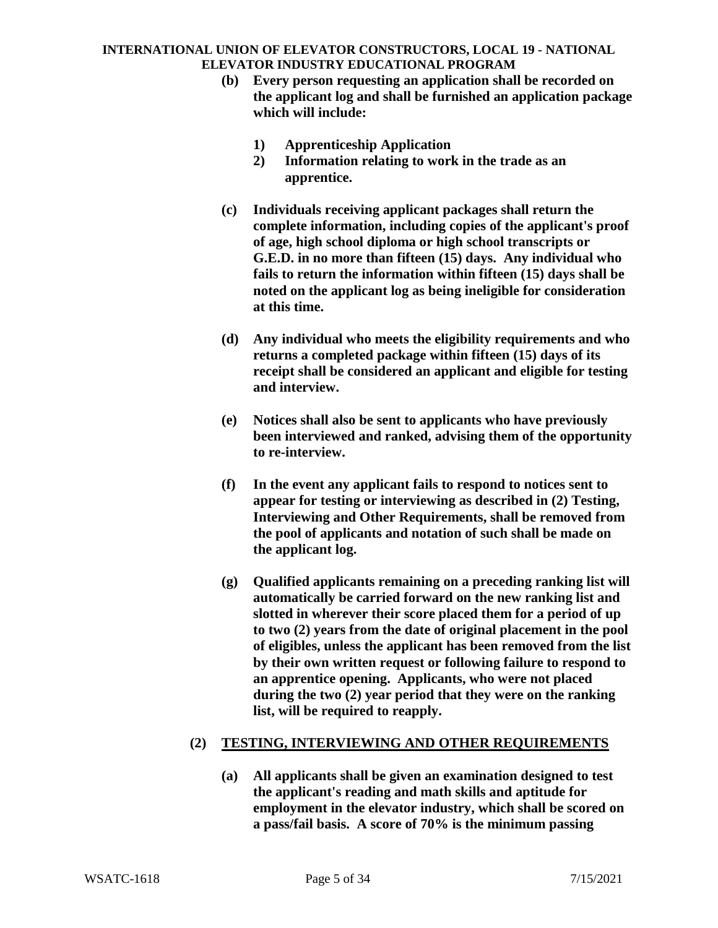- **(b) Every person requesting an application shall be recorded on the applicant log and shall be furnished an application package which will include:**
	- **1) Apprenticeship Application**
	- **2) Information relating to work in the trade as an apprentice.**
- **(c) Individuals receiving applicant packages shall return the complete information, including copies of the applicant's proof of age, high school diploma or high school transcripts or G.E.D. in no more than fifteen (15) days. Any individual who fails to return the information within fifteen (15) days shall be noted on the applicant log as being ineligible for consideration at this time.**
- **(d) Any individual who meets the eligibility requirements and who returns a completed package within fifteen (15) days of its receipt shall be considered an applicant and eligible for testing and interview.**
- **(e) Notices shall also be sent to applicants who have previously been interviewed and ranked, advising them of the opportunity to re-interview.**
- **(f) In the event any applicant fails to respond to notices sent to appear for testing or interviewing as described in (2) Testing, Interviewing and Other Requirements, shall be removed from the pool of applicants and notation of such shall be made on the applicant log.**
- **(g) Qualified applicants remaining on a preceding ranking list will automatically be carried forward on the new ranking list and slotted in wherever their score placed them for a period of up to two (2) years from the date of original placement in the pool of eligibles, unless the applicant has been removed from the list by their own written request or following failure to respond to an apprentice opening. Applicants, who were not placed during the two (2) year period that they were on the ranking list, will be required to reapply.**

# **(2) TESTING, INTERVIEWING AND OTHER REQUIREMENTS**

**(a) All applicants shall be given an examination designed to test the applicant's reading and math skills and aptitude for employment in the elevator industry, which shall be scored on a pass/fail basis. A score of 70% is the minimum passing**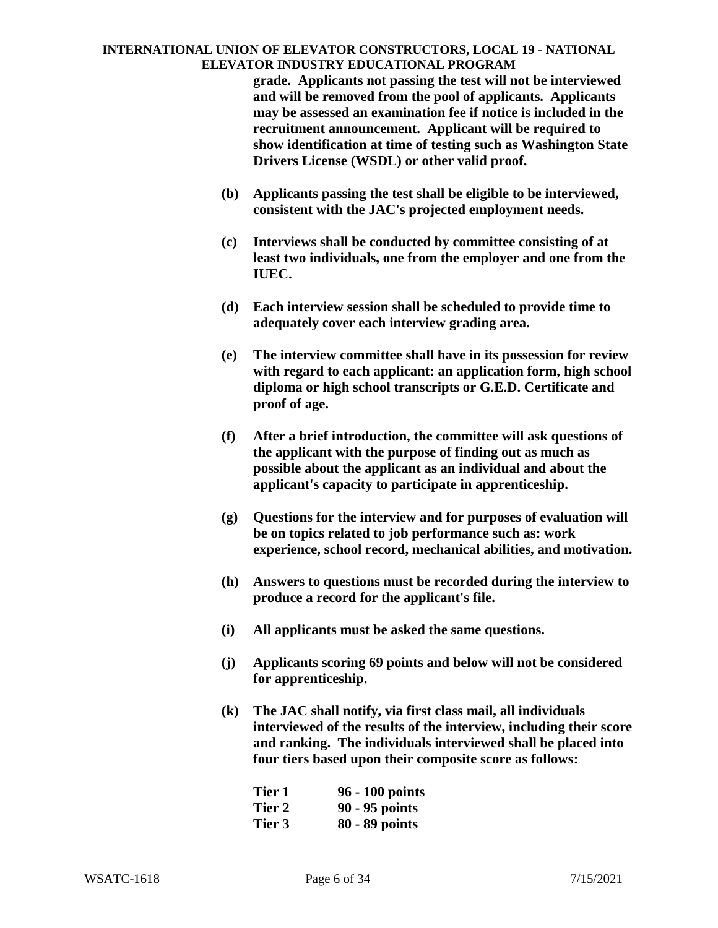**grade. Applicants not passing the test will not be interviewed and will be removed from the pool of applicants. Applicants may be assessed an examination fee if notice is included in the recruitment announcement. Applicant will be required to show identification at time of testing such as Washington State Drivers License (WSDL) or other valid proof.**

- **(b) Applicants passing the test shall be eligible to be interviewed, consistent with the JAC's projected employment needs.**
- **(c) Interviews shall be conducted by committee consisting of at least two individuals, one from the employer and one from the IUEC.**
- **(d) Each interview session shall be scheduled to provide time to adequately cover each interview grading area.**
- **(e) The interview committee shall have in its possession for review with regard to each applicant: an application form, high school diploma or high school transcripts or G.E.D. Certificate and proof of age.**
- **(f) After a brief introduction, the committee will ask questions of the applicant with the purpose of finding out as much as possible about the applicant as an individual and about the applicant's capacity to participate in apprenticeship.**
- **(g) Questions for the interview and for purposes of evaluation will be on topics related to job performance such as: work experience, school record, mechanical abilities, and motivation.**
- **(h) Answers to questions must be recorded during the interview to produce a record for the applicant's file.**
- **(i) All applicants must be asked the same questions.**
- **(j) Applicants scoring 69 points and below will not be considered for apprenticeship.**
- **(k) The JAC shall notify, via first class mail, all individuals interviewed of the results of the interview, including their score and ranking. The individuals interviewed shall be placed into four tiers based upon their composite score as follows:**

| Tier 1 | 96 - 100 points |
|--------|-----------------|
| Tier 2 | 90 - 95 points  |
| Tier 3 | 80 - 89 points  |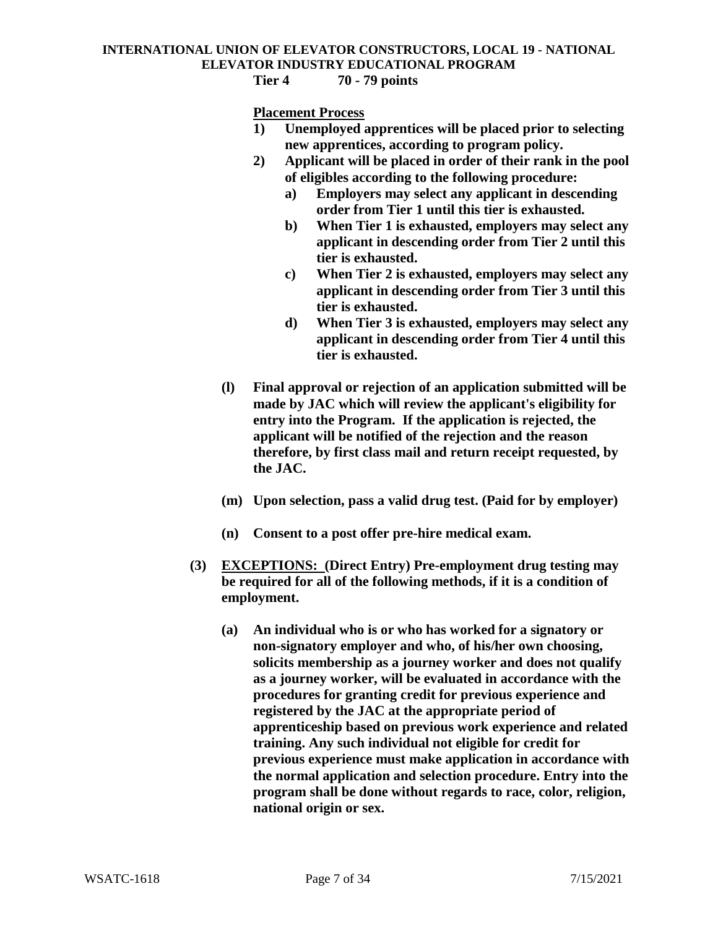**Tier 4 70 - 79 points**

**Placement Process**

- **1) Unemployed apprentices will be placed prior to selecting new apprentices, according to program policy.**
- **2) Applicant will be placed in order of their rank in the pool of eligibles according to the following procedure:**
	- **a) Employers may select any applicant in descending order from Tier 1 until this tier is exhausted.**
	- **b) When Tier 1 is exhausted, employers may select any applicant in descending order from Tier 2 until this tier is exhausted.**
	- **c) When Tier 2 is exhausted, employers may select any applicant in descending order from Tier 3 until this tier is exhausted.**
	- **d) When Tier 3 is exhausted, employers may select any applicant in descending order from Tier 4 until this tier is exhausted.**
- **(l) Final approval or rejection of an application submitted will be made by JAC which will review the applicant's eligibility for entry into the Program. If the application is rejected, the applicant will be notified of the rejection and the reason therefore, by first class mail and return receipt requested, by the JAC.**
- **(m) Upon selection, pass a valid drug test. (Paid for by employer)**
- **(n) Consent to a post offer pre-hire medical exam.**
- **(3) EXCEPTIONS: (Direct Entry) Pre-employment drug testing may be required for all of the following methods, if it is a condition of employment.**
	- **(a) An individual who is or who has worked for a signatory or non-signatory employer and who, of his/her own choosing, solicits membership as a journey worker and does not qualify as a journey worker, will be evaluated in accordance with the procedures for granting credit for previous experience and registered by the JAC at the appropriate period of apprenticeship based on previous work experience and related training. Any such individual not eligible for credit for previous experience must make application in accordance with the normal application and selection procedure. Entry into the program shall be done without regards to race, color, religion, national origin or sex.**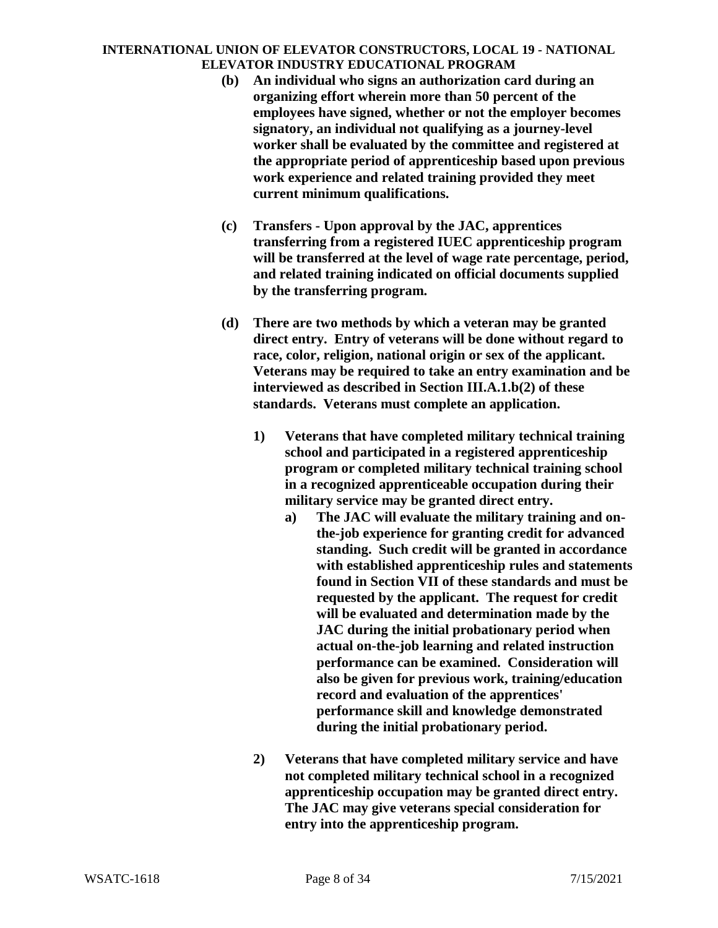- **(b) An individual who signs an authorization card during an organizing effort wherein more than 50 percent of the employees have signed, whether or not the employer becomes signatory, an individual not qualifying as a journey-level worker shall be evaluated by the committee and registered at the appropriate period of apprenticeship based upon previous work experience and related training provided they meet current minimum qualifications.**
- **(c) Transfers - Upon approval by the JAC, apprentices transferring from a registered IUEC apprenticeship program will be transferred at the level of wage rate percentage, period, and related training indicated on official documents supplied by the transferring program.**
- **(d) There are two methods by which a veteran may be granted direct entry. Entry of veterans will be done without regard to race, color, religion, national origin or sex of the applicant. Veterans may be required to take an entry examination and be interviewed as described in Section III.A.1.b(2) of these standards. Veterans must complete an application.**
	- **1) Veterans that have completed military technical training school and participated in a registered apprenticeship program or completed military technical training school in a recognized apprenticeable occupation during their military service may be granted direct entry.**
		- **a) The JAC will evaluate the military training and onthe-job experience for granting credit for advanced standing. Such credit will be granted in accordance with established apprenticeship rules and statements found in Section VII of these standards and must be requested by the applicant. The request for credit will be evaluated and determination made by the JAC during the initial probationary period when actual on-the-job learning and related instruction performance can be examined. Consideration will also be given for previous work, training/education record and evaluation of the apprentices' performance skill and knowledge demonstrated during the initial probationary period.**
	- **2) Veterans that have completed military service and have not completed military technical school in a recognized apprenticeship occupation may be granted direct entry. The JAC may give veterans special consideration for entry into the apprenticeship program.**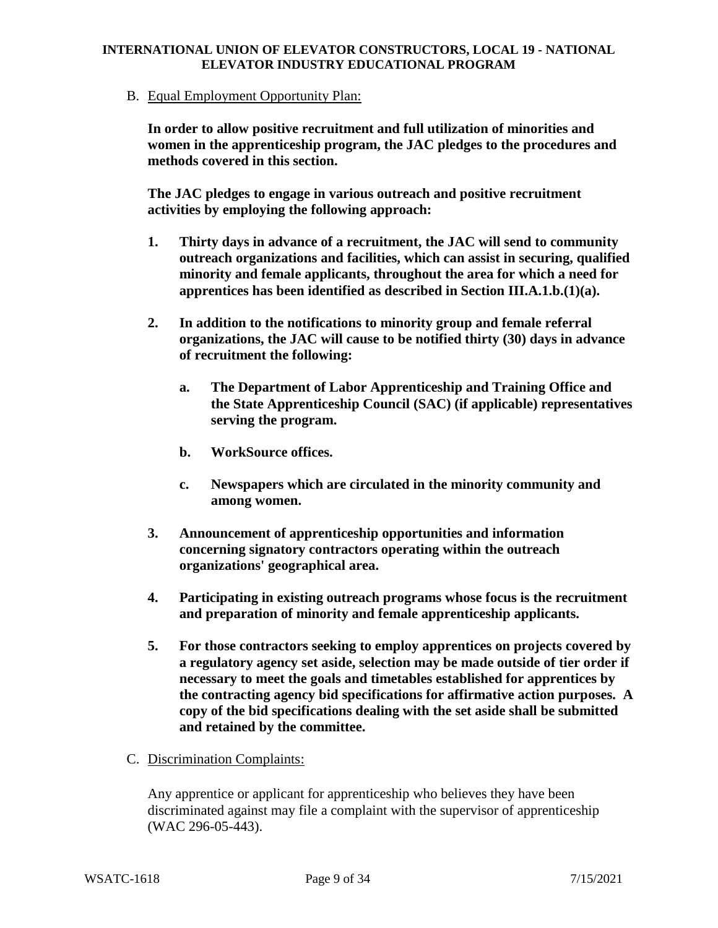B. Equal Employment Opportunity Plan:

**In order to allow positive recruitment and full utilization of minorities and women in the apprenticeship program, the JAC pledges to the procedures and methods covered in this section.**

**The JAC pledges to engage in various outreach and positive recruitment activities by employing the following approach:**

- **1. Thirty days in advance of a recruitment, the JAC will send to community outreach organizations and facilities, which can assist in securing, qualified minority and female applicants, throughout the area for which a need for apprentices has been identified as described in Section III.A.1.b.(1)(a).**
- **2. In addition to the notifications to minority group and female referral organizations, the JAC will cause to be notified thirty (30) days in advance of recruitment the following:**
	- **a. The Department of Labor Apprenticeship and Training Office and the State Apprenticeship Council (SAC) (if applicable) representatives serving the program.**
	- **b. WorkSource offices.**
	- **c. Newspapers which are circulated in the minority community and among women.**
- **3. Announcement of apprenticeship opportunities and information concerning signatory contractors operating within the outreach organizations' geographical area.**
- **4. Participating in existing outreach programs whose focus is the recruitment and preparation of minority and female apprenticeship applicants.**
- **5. For those contractors seeking to employ apprentices on projects covered by a regulatory agency set aside, selection may be made outside of tier order if necessary to meet the goals and timetables established for apprentices by the contracting agency bid specifications for affirmative action purposes. A copy of the bid specifications dealing with the set aside shall be submitted and retained by the committee.**
- C. Discrimination Complaints:

Any apprentice or applicant for apprenticeship who believes they have been discriminated against may file a complaint with the supervisor of apprenticeship (WAC 296-05-443).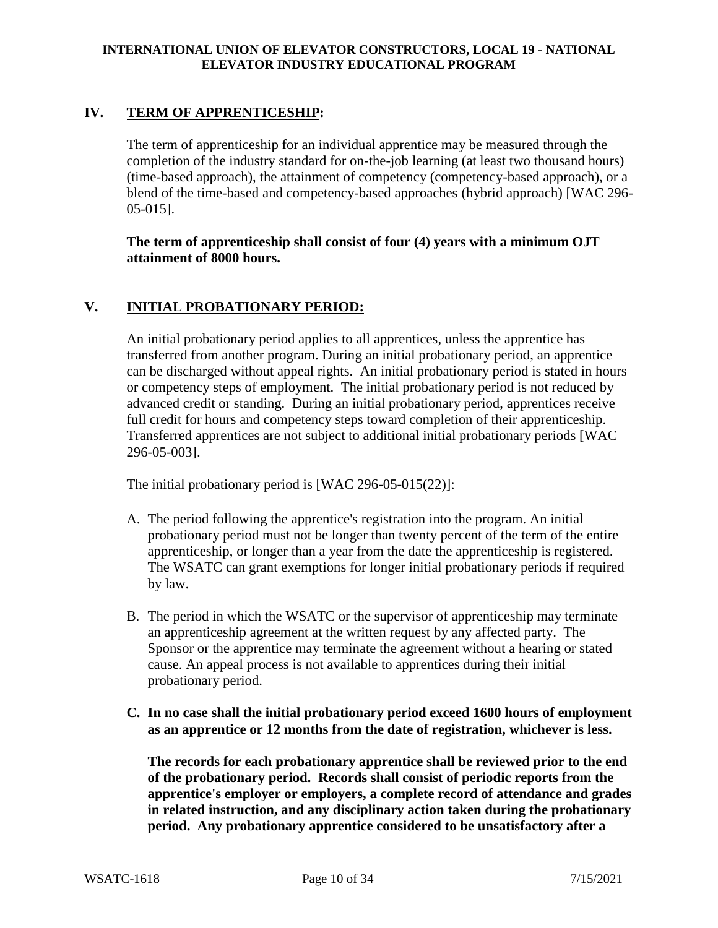## **IV. TERM OF APPRENTICESHIP:**

The term of apprenticeship for an individual apprentice may be measured through the completion of the industry standard for on-the-job learning (at least two thousand hours) (time-based approach), the attainment of competency (competency-based approach), or a blend of the time-based and competency-based approaches (hybrid approach) [WAC 296- 05-015].

**The term of apprenticeship shall consist of four (4) years with a minimum OJT attainment of 8000 hours.**

### **V. INITIAL PROBATIONARY PERIOD:**

An initial probationary period applies to all apprentices, unless the apprentice has transferred from another program. During an initial probationary period, an apprentice can be discharged without appeal rights. An initial probationary period is stated in hours or competency steps of employment. The initial probationary period is not reduced by advanced credit or standing. During an initial probationary period, apprentices receive full credit for hours and competency steps toward completion of their apprenticeship. Transferred apprentices are not subject to additional initial probationary periods [WAC 296-05-003].

The initial probationary period is [WAC 296-05-015(22)]:

- A. The period following the apprentice's registration into the program. An initial probationary period must not be longer than twenty percent of the term of the entire apprenticeship, or longer than a year from the date the apprenticeship is registered. The WSATC can grant exemptions for longer initial probationary periods if required by law.
- B. The period in which the WSATC or the supervisor of apprenticeship may terminate an apprenticeship agreement at the written request by any affected party. The Sponsor or the apprentice may terminate the agreement without a hearing or stated cause. An appeal process is not available to apprentices during their initial probationary period.
- **C. In no case shall the initial probationary period exceed 1600 hours of employment as an apprentice or 12 months from the date of registration, whichever is less.**

**The records for each probationary apprentice shall be reviewed prior to the end of the probationary period. Records shall consist of periodic reports from the apprentice's employer or employers, a complete record of attendance and grades in related instruction, and any disciplinary action taken during the probationary period. Any probationary apprentice considered to be unsatisfactory after a**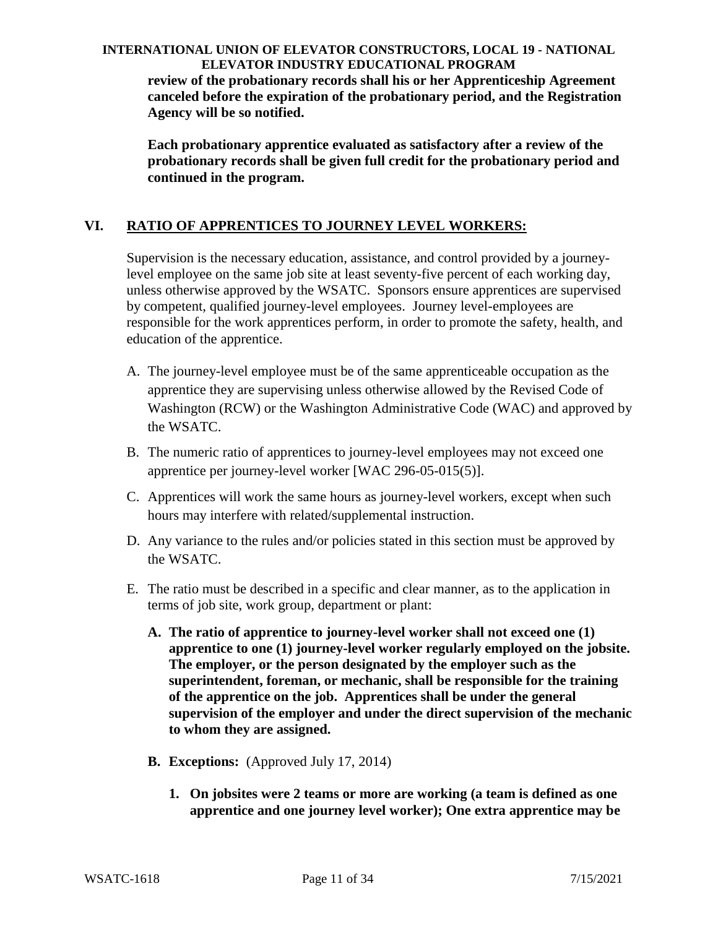**review of the probationary records shall his or her Apprenticeship Agreement canceled before the expiration of the probationary period, and the Registration Agency will be so notified.**

**Each probationary apprentice evaluated as satisfactory after a review of the probationary records shall be given full credit for the probationary period and continued in the program.**

# **VI. RATIO OF APPRENTICES TO JOURNEY LEVEL WORKERS:**

Supervision is the necessary education, assistance, and control provided by a journeylevel employee on the same job site at least seventy-five percent of each working day, unless otherwise approved by the WSATC. Sponsors ensure apprentices are supervised by competent, qualified journey-level employees. Journey level-employees are responsible for the work apprentices perform, in order to promote the safety, health, and education of the apprentice.

- A. The journey-level employee must be of the same apprenticeable occupation as the apprentice they are supervising unless otherwise allowed by the Revised Code of Washington (RCW) or the Washington Administrative Code (WAC) and approved by the WSATC.
- B. The numeric ratio of apprentices to journey-level employees may not exceed one apprentice per journey-level worker [WAC 296-05-015(5)].
- C. Apprentices will work the same hours as journey-level workers, except when such hours may interfere with related/supplemental instruction.
- D. Any variance to the rules and/or policies stated in this section must be approved by the WSATC.
- E. The ratio must be described in a specific and clear manner, as to the application in terms of job site, work group, department or plant:
	- **A. The ratio of apprentice to journey-level worker shall not exceed one (1) apprentice to one (1) journey-level worker regularly employed on the jobsite. The employer, or the person designated by the employer such as the superintendent, foreman, or mechanic, shall be responsible for the training of the apprentice on the job. Apprentices shall be under the general supervision of the employer and under the direct supervision of the mechanic to whom they are assigned.**
	- **B. Exceptions:** (Approved July 17, 2014)
		- **1. On jobsites were 2 teams or more are working (a team is defined as one apprentice and one journey level worker); One extra apprentice may be**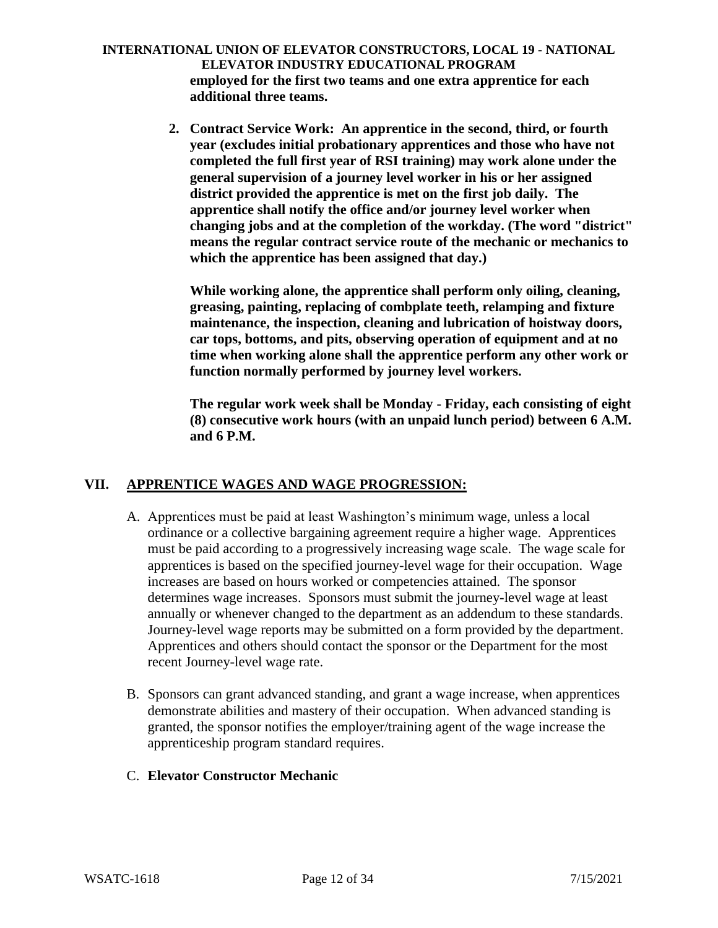**INTERNATIONAL UNION OF ELEVATOR CONSTRUCTORS, LOCAL 19 - NATIONAL ELEVATOR INDUSTRY EDUCATIONAL PROGRAM employed for the first two teams and one extra apprentice for each additional three teams.**

> **2. Contract Service Work: An apprentice in the second, third, or fourth year (excludes initial probationary apprentices and those who have not completed the full first year of RSI training) may work alone under the general supervision of a journey level worker in his or her assigned district provided the apprentice is met on the first job daily. The apprentice shall notify the office and/or journey level worker when changing jobs and at the completion of the workday. (The word "district" means the regular contract service route of the mechanic or mechanics to which the apprentice has been assigned that day.)**

**While working alone, the apprentice shall perform only oiling, cleaning, greasing, painting, replacing of combplate teeth, relamping and fixture maintenance, the inspection, cleaning and lubrication of hoistway doors, car tops, bottoms, and pits, observing operation of equipment and at no time when working alone shall the apprentice perform any other work or function normally performed by journey level workers.**

**The regular work week shall be Monday - Friday, each consisting of eight (8) consecutive work hours (with an unpaid lunch period) between 6 A.M. and 6 P.M.**

# **VII. APPRENTICE WAGES AND WAGE PROGRESSION:**

- A. Apprentices must be paid at least Washington's minimum wage, unless a local ordinance or a collective bargaining agreement require a higher wage. Apprentices must be paid according to a progressively increasing wage scale. The wage scale for apprentices is based on the specified journey-level wage for their occupation. Wage increases are based on hours worked or competencies attained. The sponsor determines wage increases. Sponsors must submit the journey-level wage at least annually or whenever changed to the department as an addendum to these standards. Journey-level wage reports may be submitted on a form provided by the department. Apprentices and others should contact the sponsor or the Department for the most recent Journey-level wage rate.
- B. Sponsors can grant advanced standing, and grant a wage increase, when apprentices demonstrate abilities and mastery of their occupation. When advanced standing is granted, the sponsor notifies the employer/training agent of the wage increase the apprenticeship program standard requires.
- C. **Elevator Constructor Mechanic**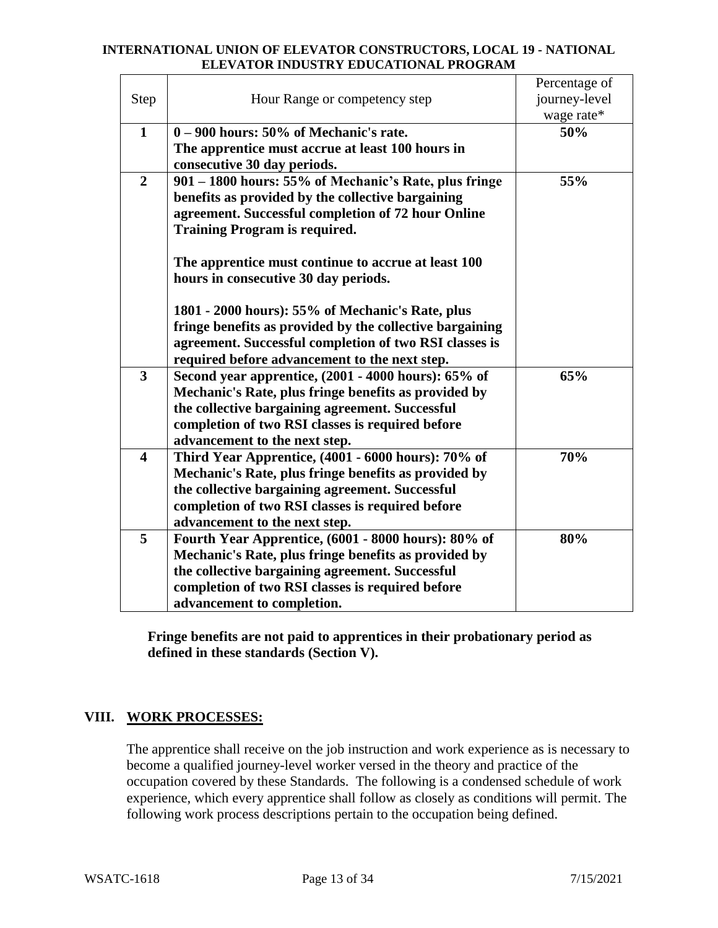| Step                    | Hour Range or competency step                                                                                                                                                                                           | Percentage of<br>journey-level<br>wage rate* |
|-------------------------|-------------------------------------------------------------------------------------------------------------------------------------------------------------------------------------------------------------------------|----------------------------------------------|
| $\mathbf{1}$            | $0 - 900$ hours: 50% of Mechanic's rate.                                                                                                                                                                                | 50%                                          |
|                         | The apprentice must accrue at least 100 hours in                                                                                                                                                                        |                                              |
|                         | consecutive 30 day periods.                                                                                                                                                                                             |                                              |
| $\overline{2}$          | 901 – 1800 hours: 55% of Mechanic's Rate, plus fringe                                                                                                                                                                   | 55%                                          |
|                         | benefits as provided by the collective bargaining                                                                                                                                                                       |                                              |
|                         | agreement. Successful completion of 72 hour Online                                                                                                                                                                      |                                              |
|                         | <b>Training Program is required.</b>                                                                                                                                                                                    |                                              |
|                         | The apprentice must continue to accrue at least 100<br>hours in consecutive 30 day periods.                                                                                                                             |                                              |
|                         | 1801 - 2000 hours): 55% of Mechanic's Rate, plus<br>fringe benefits as provided by the collective bargaining<br>agreement. Successful completion of two RSI classes is<br>required before advancement to the next step. |                                              |
| $\overline{\mathbf{3}}$ | Second year apprentice, (2001 - 4000 hours): 65% of                                                                                                                                                                     | 65%                                          |
|                         | Mechanic's Rate, plus fringe benefits as provided by                                                                                                                                                                    |                                              |
|                         | the collective bargaining agreement. Successful                                                                                                                                                                         |                                              |
|                         | completion of two RSI classes is required before                                                                                                                                                                        |                                              |
|                         | advancement to the next step.                                                                                                                                                                                           |                                              |
| $\overline{\mathbf{4}}$ | Third Year Apprentice, (4001 - 6000 hours): 70% of                                                                                                                                                                      | 70%                                          |
|                         | Mechanic's Rate, plus fringe benefits as provided by                                                                                                                                                                    |                                              |
|                         | the collective bargaining agreement. Successful                                                                                                                                                                         |                                              |
|                         | completion of two RSI classes is required before                                                                                                                                                                        |                                              |
|                         | advancement to the next step.                                                                                                                                                                                           |                                              |
| 5                       | Fourth Year Apprentice, (6001 - 8000 hours): 80% of                                                                                                                                                                     | 80%                                          |
|                         | Mechanic's Rate, plus fringe benefits as provided by                                                                                                                                                                    |                                              |
|                         | the collective bargaining agreement. Successful                                                                                                                                                                         |                                              |
|                         | completion of two RSI classes is required before                                                                                                                                                                        |                                              |
|                         | advancement to completion.                                                                                                                                                                                              |                                              |

**Fringe benefits are not paid to apprentices in their probationary period as defined in these standards (Section V).**

# **VIII. WORK PROCESSES:**

The apprentice shall receive on the job instruction and work experience as is necessary to become a qualified journey-level worker versed in the theory and practice of the occupation covered by these Standards. The following is a condensed schedule of work experience, which every apprentice shall follow as closely as conditions will permit. The following work process descriptions pertain to the occupation being defined.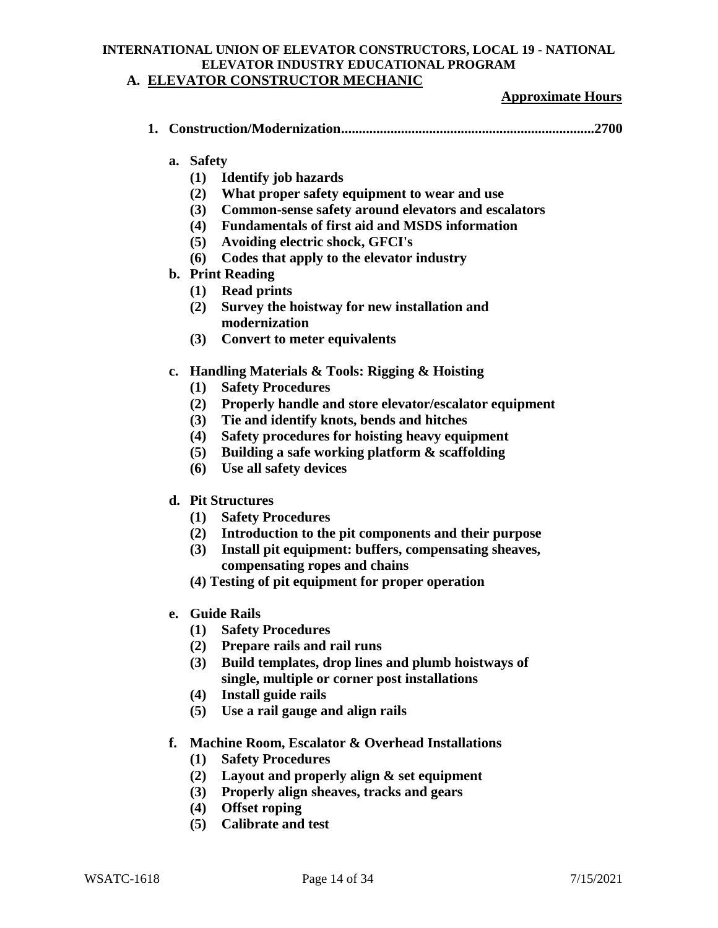#### **INTERNATIONAL UNION OF ELEVATOR CONSTRUCTORS, LOCAL 19 - NATIONAL ELEVATOR INDUSTRY EDUCATIONAL PROGRAM A. ELEVATOR CONSTRUCTOR MECHANIC**

#### **Approximate Hours**

|--|--|

- **a. Safety**
	- **(1) Identify job hazards**
	- **(2) What proper safety equipment to wear and use**
	- **(3) Common-sense safety around elevators and escalators**
	- **(4) Fundamentals of first aid and MSDS information**
	- **(5) Avoiding electric shock, GFCI's**
	- **(6) Codes that apply to the elevator industry**
- **b. Print Reading**
	- **(1) Read prints**
	- **(2) Survey the hoistway for new installation and modernization**
	- **(3) Convert to meter equivalents**
- **c. Handling Materials & Tools: Rigging & Hoisting**
	- **(1) Safety Procedures**
	- **(2) Properly handle and store elevator/escalator equipment**
	- **(3) Tie and identify knots, bends and hitches**
	- **(4) Safety procedures for hoisting heavy equipment**
	- **(5) Building a safe working platform & scaffolding**
	- **(6) Use all safety devices**
- **d. Pit Structures**
	- **(1) Safety Procedures**
	- **(2) Introduction to the pit components and their purpose**
	- **(3) Install pit equipment: buffers, compensating sheaves, compensating ropes and chains**
	- **(4) Testing of pit equipment for proper operation**
- **e. Guide Rails**
	- **(1) Safety Procedures**
	- **(2) Prepare rails and rail runs**
	- **(3) Build templates, drop lines and plumb hoistways of single, multiple or corner post installations**
	- **(4) Install guide rails**
	- **(5) Use a rail gauge and align rails**
- **f. Machine Room, Escalator & Overhead Installations**
	- **(1) Safety Procedures**
	- **(2) Layout and properly align & set equipment**
	- **(3) Properly align sheaves, tracks and gears**
	- **(4) Offset roping**
	- **(5) Calibrate and test**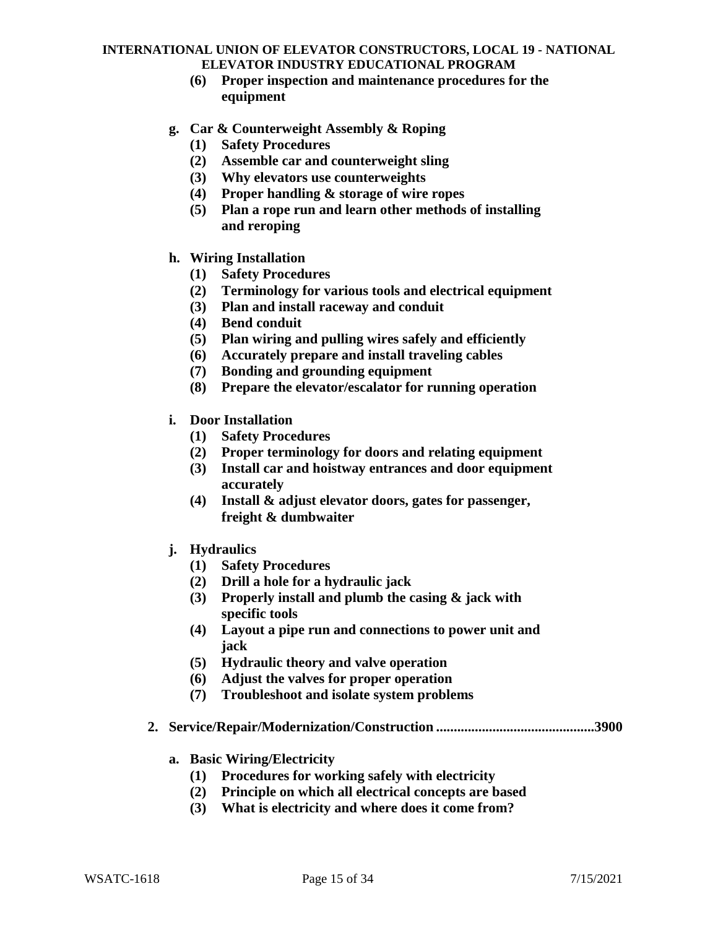- **(6) Proper inspection and maintenance procedures for the equipment**
- **g. Car & Counterweight Assembly & Roping**
	- **(1) Safety Procedures**
	- **(2) Assemble car and counterweight sling**
	- **(3) Why elevators use counterweights**
	- **(4) Proper handling & storage of wire ropes**
	- **(5) Plan a rope run and learn other methods of installing and reroping**
- **h. Wiring Installation**
	- **(1) Safety Procedures**
	- **(2) Terminology for various tools and electrical equipment**
	- **(3) Plan and install raceway and conduit**
	- **(4) Bend conduit**
	- **(5) Plan wiring and pulling wires safely and efficiently**
	- **(6) Accurately prepare and install traveling cables**
	- **(7) Bonding and grounding equipment**
	- **(8) Prepare the elevator/escalator for running operation**
- **i. Door Installation**
	- **(1) Safety Procedures**
	- **(2) Proper terminology for doors and relating equipment**
	- **(3) Install car and hoistway entrances and door equipment accurately**
	- **(4) Install & adjust elevator doors, gates for passenger, freight & dumbwaiter**
- **j. Hydraulics**
	- **(1) Safety Procedures**
	- **(2) Drill a hole for a hydraulic jack**
	- **(3) Properly install and plumb the casing & jack with specific tools**
	- **(4) Layout a pipe run and connections to power unit and jack**
	- **(5) Hydraulic theory and valve operation**
	- **(6) Adjust the valves for proper operation**
	- **(7) Troubleshoot and isolate system problems**
- **2. Service/Repair/Modernization/Construction .............................................3900**
	- **a. Basic Wiring/Electricity**
		- **(1) Procedures for working safely with electricity**
		- **(2) Principle on which all electrical concepts are based**
		- **(3) What is electricity and where does it come from?**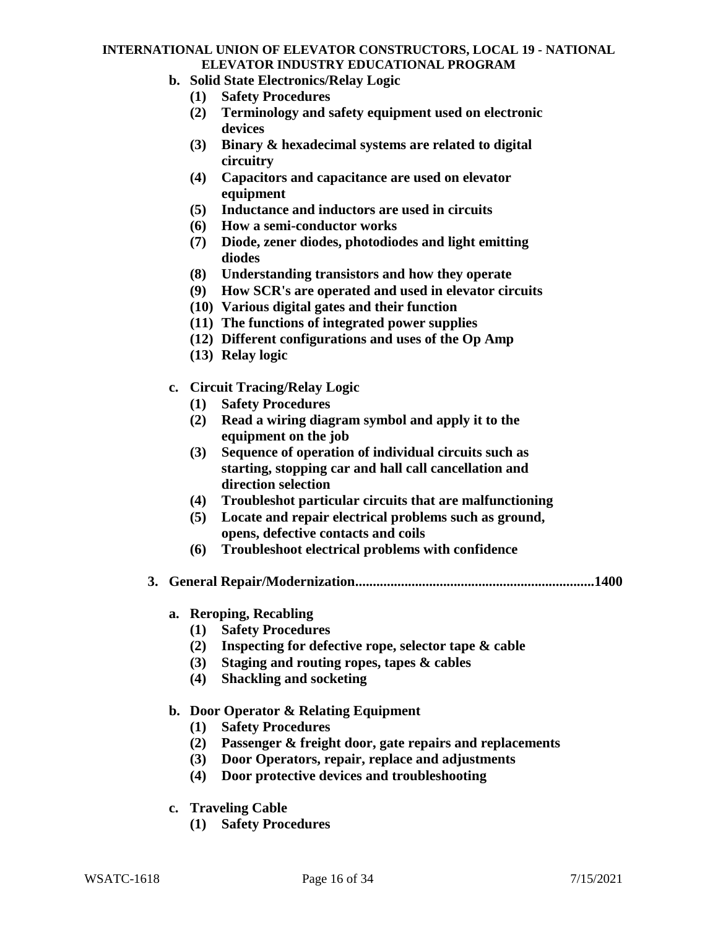- **b. Solid State Electronics/Relay Logic**
	- **(1) Safety Procedures**
	- **(2) Terminology and safety equipment used on electronic devices**
	- **(3) Binary & hexadecimal systems are related to digital circuitry**
	- **(4) Capacitors and capacitance are used on elevator equipment**
	- **(5) Inductance and inductors are used in circuits**
	- **(6) How a semi-conductor works**
	- **(7) Diode, zener diodes, photodiodes and light emitting diodes**
	- **(8) Understanding transistors and how they operate**
	- **(9) How SCR's are operated and used in elevator circuits**
	- **(10) Various digital gates and their function**
	- **(11) The functions of integrated power supplies**
	- **(12) Different configurations and uses of the Op Amp**
	- **(13) Relay logic**
- **c. Circuit Tracing/Relay Logic**
	- **(1) Safety Procedures**
	- **(2) Read a wiring diagram symbol and apply it to the equipment on the job**
	- **(3) Sequence of operation of individual circuits such as starting, stopping car and hall call cancellation and direction selection**
	- **(4) Troubleshot particular circuits that are malfunctioning**
	- **(5) Locate and repair electrical problems such as ground, opens, defective contacts and coils**
	- **(6) Troubleshoot electrical problems with confidence**
- **3. General Repair/Modernization....................................................................1400**
	- **a. Reroping, Recabling**
		- **(1) Safety Procedures**
		- **(2) Inspecting for defective rope, selector tape & cable**
		- **(3) Staging and routing ropes, tapes & cables**
		- **(4) Shackling and socketing**

### **b. Door Operator & Relating Equipment**

- **(1) Safety Procedures**
- **(2) Passenger & freight door, gate repairs and replacements**
- **(3) Door Operators, repair, replace and adjustments**
- **(4) Door protective devices and troubleshooting**
- **c. Traveling Cable**
	- **(1) Safety Procedures**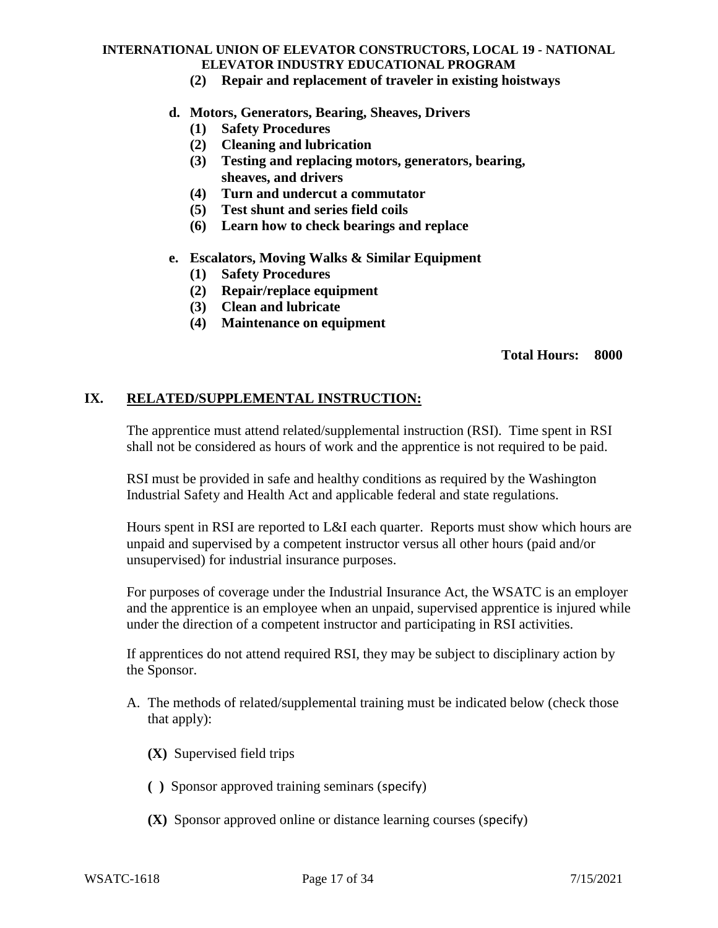**(2) Repair and replacement of traveler in existing hoistways**

### **d. Motors, Generators, Bearing, Sheaves, Drivers**

- **(1) Safety Procedures**
- **(2) Cleaning and lubrication**
- **(3) Testing and replacing motors, generators, bearing, sheaves, and drivers**
- **(4) Turn and undercut a commutator**
- **(5) Test shunt and series field coils**
- **(6) Learn how to check bearings and replace**
- **e. Escalators, Moving Walks & Similar Equipment**
	- **(1) Safety Procedures**
	- **(2) Repair/replace equipment**
	- **(3) Clean and lubricate**
	- **(4) Maintenance on equipment**

### **Total Hours: 8000**

### **IX. RELATED/SUPPLEMENTAL INSTRUCTION:**

The apprentice must attend related/supplemental instruction (RSI). Time spent in RSI shall not be considered as hours of work and the apprentice is not required to be paid.

RSI must be provided in safe and healthy conditions as required by the Washington Industrial Safety and Health Act and applicable federal and state regulations.

Hours spent in RSI are reported to L&I each quarter. Reports must show which hours are unpaid and supervised by a competent instructor versus all other hours (paid and/or unsupervised) for industrial insurance purposes.

For purposes of coverage under the Industrial Insurance Act, the WSATC is an employer and the apprentice is an employee when an unpaid, supervised apprentice is injured while under the direction of a competent instructor and participating in RSI activities.

If apprentices do not attend required RSI, they may be subject to disciplinary action by the Sponsor.

- A. The methods of related/supplemental training must be indicated below (check those that apply):
	- **(X)** Supervised field trips
	- **( )** Sponsor approved training seminars (specify)
	- **(X)** Sponsor approved online or distance learning courses (specify)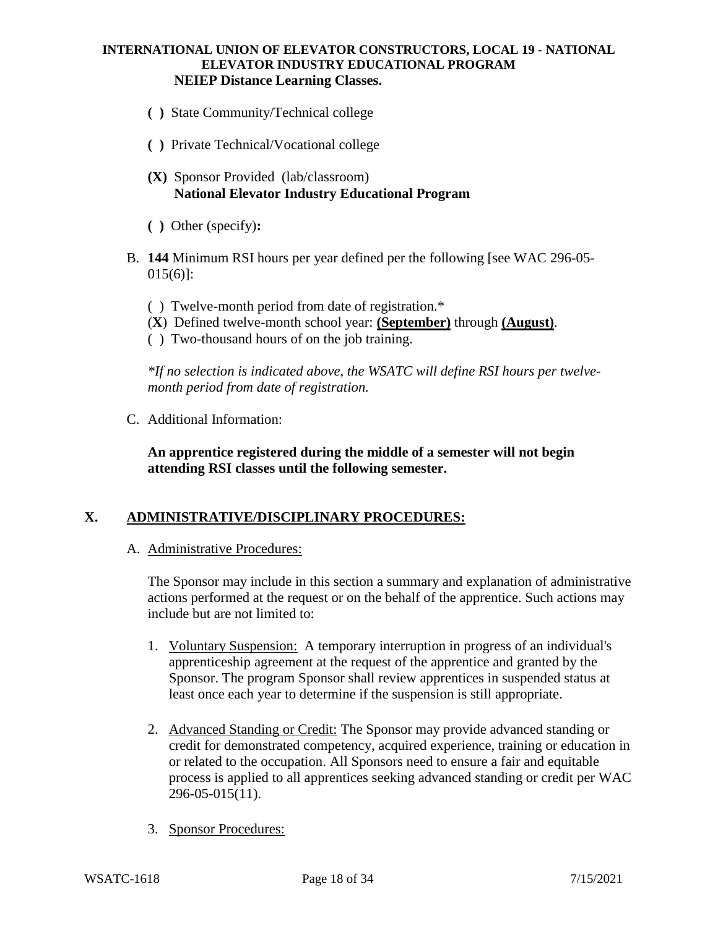#### **INTERNATIONAL UNION OF ELEVATOR CONSTRUCTORS, LOCAL 19 - NATIONAL ELEVATOR INDUSTRY EDUCATIONAL PROGRAM NEIEP Distance Learning Classes.**

- **( )** State Community/Technical college
- **( )** Private Technical/Vocational college
- **(X)** Sponsor Provided (lab/classroom) **National Elevator Industry Educational Program**
- **( )** Other (specify)**:**
- B. **144** Minimum RSI hours per year defined per the following [see WAC 296-05- 015(6)]:
	- ( ) Twelve-month period from date of registration.\*
	- (**X**) Defined twelve-month school year: **(September)** through **(August)**.
	- ( ) Two-thousand hours of on the job training.

*\*If no selection is indicated above, the WSATC will define RSI hours per twelvemonth period from date of registration.*

C. Additional Information:

**An apprentice registered during the middle of a semester will not begin attending RSI classes until the following semester.**

### **X. ADMINISTRATIVE/DISCIPLINARY PROCEDURES:**

A. Administrative Procedures:

The Sponsor may include in this section a summary and explanation of administrative actions performed at the request or on the behalf of the apprentice. Such actions may include but are not limited to:

- 1. Voluntary Suspension: A temporary interruption in progress of an individual's apprenticeship agreement at the request of the apprentice and granted by the Sponsor. The program Sponsor shall review apprentices in suspended status at least once each year to determine if the suspension is still appropriate.
- 2. Advanced Standing or Credit: The Sponsor may provide advanced standing or credit for demonstrated competency, acquired experience, training or education in or related to the occupation. All Sponsors need to ensure a fair and equitable process is applied to all apprentices seeking advanced standing or credit per WAC 296-05-015(11).
- 3. Sponsor Procedures: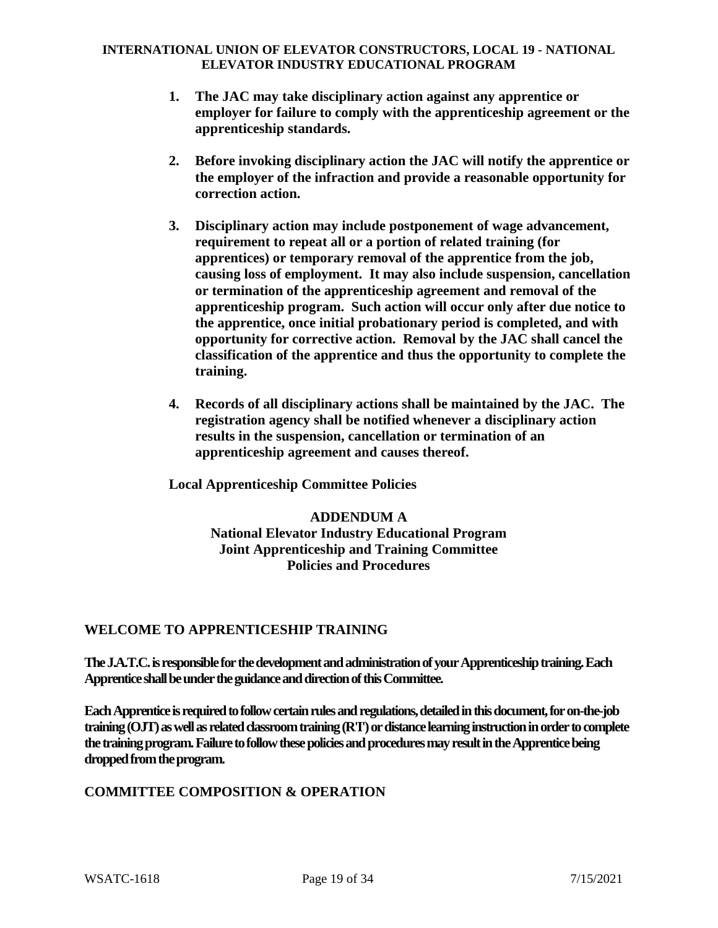- **1. The JAC may take disciplinary action against any apprentice or employer for failure to comply with the apprenticeship agreement or the apprenticeship standards.**
- **2. Before invoking disciplinary action the JAC will notify the apprentice or the employer of the infraction and provide a reasonable opportunity for correction action.**
- **3. Disciplinary action may include postponement of wage advancement, requirement to repeat all or a portion of related training (for apprentices) or temporary removal of the apprentice from the job, causing loss of employment. It may also include suspension, cancellation or termination of the apprenticeship agreement and removal of the apprenticeship program. Such action will occur only after due notice to the apprentice, once initial probationary period is completed, and with opportunity for corrective action. Removal by the JAC shall cancel the classification of the apprentice and thus the opportunity to complete the training.**
- **4. Records of all disciplinary actions shall be maintained by the JAC. The registration agency shall be notified whenever a disciplinary action results in the suspension, cancellation or termination of an apprenticeship agreement and causes thereof.**

**Local Apprenticeship Committee Policies**

**ADDENDUM A National Elevator Industry Educational Program Joint Apprenticeship and Training Committee Policies and Procedures**

### **WELCOME TO APPRENTICESHIP TRAINING**

**The J.A.T.C. is responsible for the development and administration of your Apprenticeship training. Each Apprentice shall be under the guidance and direction of this Committee.**

**Each Apprenticeis required to follow certain rules and regulations, detailed in this document, for on-the-job training (OJT) as well as related classroom training (R'I') or distance learning instruction in order to complete the training program. Failure to follow these policies and procedures may result in the Apprentice being dropped from the program.**

### **COMMITTEE COMPOSITION & OPERATION**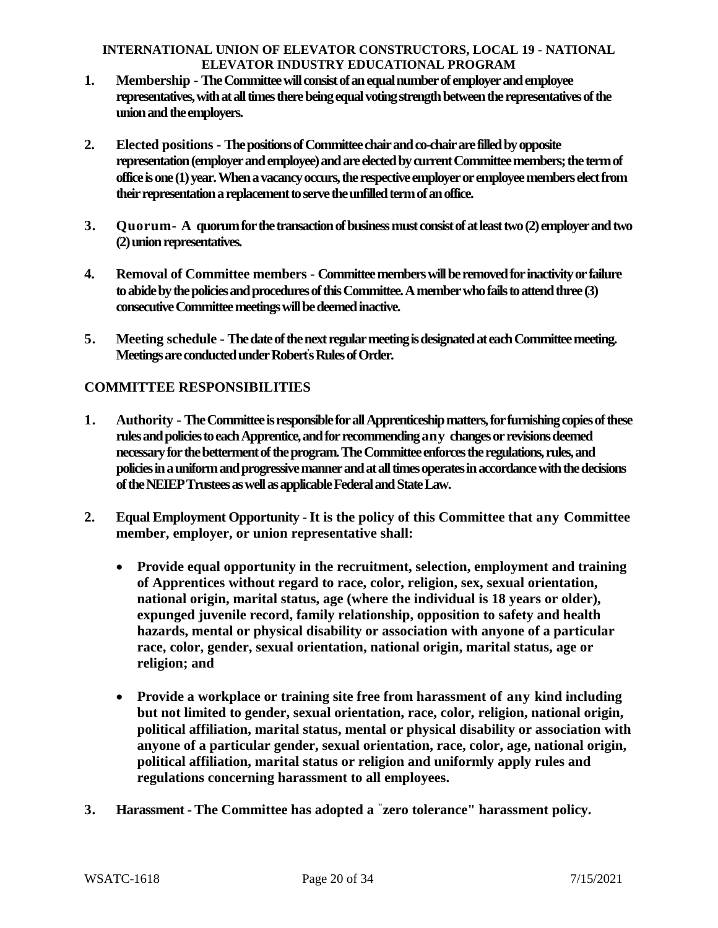- **1. Membership - The Committee will consist of an equal number of employer and employee representatives, with at all times there being equal voting strength between the representatives of the union and the employers.**
- **2. Elected positions - The positions of Committee chair and co-chair are filled by opposite representation (employer and employee) and are elected by current Committee members; the term of office is one (1) year. When a vacancy occurs, the respective employer or employee members elect from their representation a replacement to serve the unfilled term of an office.**
- **3. Quorum- A quorum for the transaction of business must consist of at least two (2) employer and two (2) union representatives.**
- **4. Removal of Committee members - Committee members will be removed for inactivity or failure to abide by the policies and procedures of this Committee. A member who fails to attend three (3) consecutive Committee meetings will be deemed inactive.**
- **5. Meeting schedule - The date of the next regular meeting is designated at each Committee meeting. Meetings are conducted under Robert' s Rules of Order.**

# **COMMITTEE RESPONSIBILITIES**

- **1. Authority - The Committee is responsible for all Apprenticeship matters, for furnishing copies of these rules and policies to each Apprentice, and for recommending any changes or revisions deemed necessary for the betterment of the program. The Committee enforces the regulations, rules, and policies in a uniform and progressive manner and at all times operates in accordance with the decisions of the NEIEP Trustees as well as applicable Federal and State Law.**
- **2. Equal Employment Opportunity -It is the policy of this Committee that any Committee member, employer, or union representative shall:**
	- **Provide equal opportunity in the recruitment, selection, employment and training of Apprentices without regard to race, color, religion, sex, sexual orientation, national origin, marital status, age (where the individual is 18 years or older), expunged juvenile record, family relationship, opposition to safety and health hazards, mental or physical disability or association with anyone of a particular race, color, gender, sexual orientation, national origin, marital status, age or religion; and**
	- **Provide a workplace or training site free from harassment of any kind including but not limited to gender, sexual orientation, race, color, religion, national origin, political affiliation, marital status, mental or physical disability or association with anyone of a particular gender, sexual orientation, race, color, age, national origin, political affiliation, marital status or religion and uniformly apply rules and regulations concerning harassment to all employees.**
- **3. Harassment - The Committee has adopted a "zero tolerance" harassment policy.**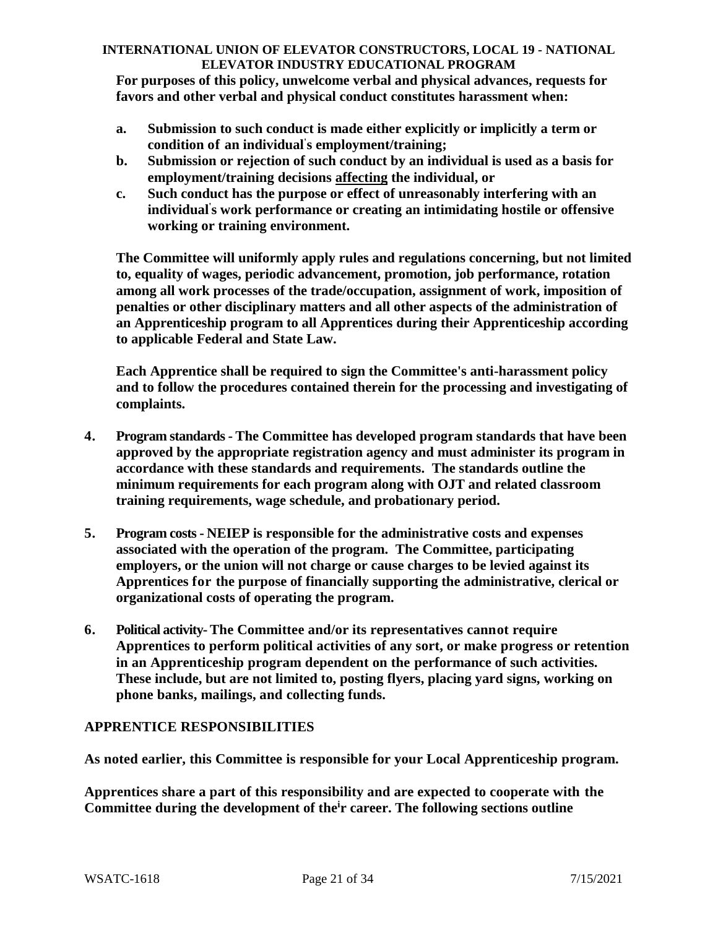**For purposes of this policy, unwelcome verbal and physical advances, requests for favors and other verbal and physical conduct constitutes harassment when:**

- **a. Submission to such conduct is made either explicitly or implicitly a term or condition of an individual' s employment/training;**
- **b. Submission or rejection of such conduct by an individual is used as a basis for employment/training decisions affecting the individual, or**
- **c. Such conduct has the purpose or effect of unreasonably interfering with an individual' s work performance or creating an intimidating hostile or offensive working or training environment.**

**The Committee will uniformly apply rules and regulations concerning, but not limited to, equality of wages, periodic advancement, promotion, job performance, rotation among all work processes of the trade/occupation, assignment of work, imposition of penalties or other disciplinary matters and all other aspects of the administration of an Apprenticeship program to all Apprentices during their Apprenticeship according to applicable Federal and State Law.**

**Each Apprentice shall be required to sign the Committee's anti-harassment policy and to follow the procedures contained therein for the processing and investigating of complaints.**

- **4. Program standards - The Committee has developed program standards that have been approved by the appropriate registration agency and must administer its program in accordance with these standards and requirements. The standards outline the minimum requirements for each program along with OJT and related classroom training requirements, wage schedule, and probationary period.**
- **5. Program costs - NEIEP is responsible for the administrative costs and expenses associated with the operation of the program. The Committee, participating employers, or the union will not charge or cause charges to be levied against its Apprentices for the purpose of financially supporting the administrative, clerical or organizational costs of operating the program.**
- **6. Political activity-The Committee and/or its representatives cannot require Apprentices to perform political activities of any sort, or make progress or retention in an Apprenticeship program dependent on the performance of such activities. These include, but are not limited to, posting flyers, placing yard signs, working on phone banks, mailings, and collecting funds.**

# **APPRENTICE RESPONSIBILITIES**

**As noted earlier, this Committee is responsible for your Local Apprenticeship program.**

**Apprentices share a part of this responsibility and are expected to cooperate with the Committee during the development of the ir career. The following sections outline**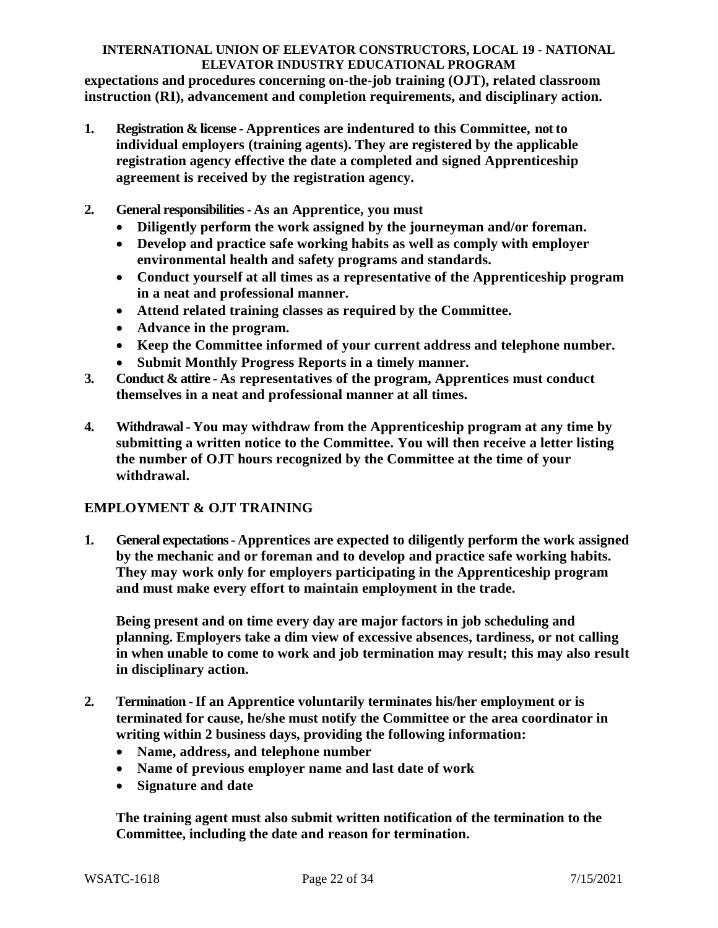**expectations and procedures concerning on-the-job training (OJT), related classroom instruction (RI), advancement and completion requirements, and disciplinary action.**

- **1. Registration & license - Apprentices are indentured to this Committee, not to individual employers (training agents). They are registered by the applicable registration agency effective the date a completed and signed Apprenticeship agreement is received by the registration agency.**
- **2. General responsibilities - As an Apprentice, you must**
	- **Diligently perform the work assigned by the journeyman and/or foreman.**
	- **Develop and practice safe working habits as well as comply with employer environmental health and safety programs and standards.**
	- **Conduct yourself at all times as a representative of the Apprenticeship program in a neat and professional manner.**
	- **Attend related training classes as required by the Committee.**
	- **Advance in the program.**
	- **Keep the Committee informed of your current address and telephone number.**
	- **Submit Monthly Progress Reports in a timely manner.**
- **3. Conduct & attire - As representatives of the program, Apprentices must conduct themselves in a neat and professional manner at all times.**
- **4. Withdrawal - You may withdraw from the Apprenticeship program at any time by submitting a written notice to the Committee. You will then receive a letter listing the number of OJT hours recognized by the Committee at the time of your withdrawal.**

### **EMPLOYMENT & OJT TRAINING**

**1. General expectations - Apprentices are expected to diligently perform the work assigned by the mechanic and or foreman and to develop and practice safe working habits. They may work only for employers participating in the Apprenticeship program and must make every effort to maintain employment in the trade.**

**Being present and on time every day are major factors in job scheduling and planning. Employers take a dim view of excessive absences, tardiness, or not calling in when unable to come to work and job termination may result; this may also result in disciplinary action.**

- **2. Termination -If an Apprentice voluntarily terminates his/her employment or is terminated for cause, he/she must notify the Committee or the area coordinator in writing within 2 business days, providing the following information:**
	- **Name, address, and telephone number**
	- **Name of previous employer name and last date of work**
	- **Signature and date**

**The training agent must also submit written notification of the termination to the Committee, including the date and reason for termination.**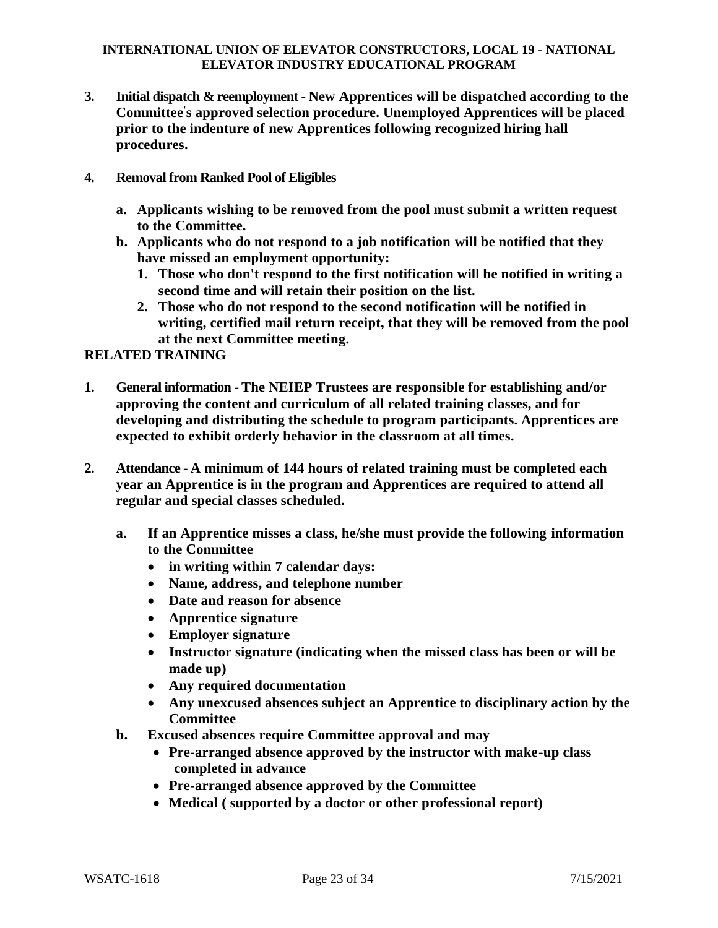- **3. Initial dispatch & reemployment - New Apprentices will be dispatched according to the Committee' s approved selection procedure. Unemployed Apprentices will be placed prior to the indenture of new Apprentices following recognized hiring hall procedures.**
- **4. Removal from Ranked Pool of Eligibles**
	- **a. Applicants wishing to be removed from the pool must submit a written request to the Committee.**
	- **b. Applicants who do not respond to a job notification will be notified that they have missed an employment opportunity:**
		- **1. Those who don't respond to the first notification will be notified in writing a second time and will retain their position on the list.**
		- **2. Those who do not respond to the second notification will be notified in writing, certified mail return receipt, that they will be removed from the pool at the next Committee meeting.**

### **RELATED TRAINING**

- **1. General information - The NEIEP Trustees are responsible for establishing and/or approving the content and curriculum of all related training classes, and for developing and distributing the schedule to program participants. Apprentices are expected to exhibit orderly behavior in the classroom at all times.**
- **2. Attendance - A minimum of 144 hours of related training must be completed each year an Apprentice is in the program and Apprentices are required to attend all regular and special classes scheduled.**
	- **a. If an Apprentice misses a class, he/she must provide the following information to the Committee**
		- **in writing within 7 calendar days:**
		- **Name, address, and telephone number**
		- **Date and reason for absence**
		- **Apprentice signature**
		- **Employer signature**
		- **Instructor signature (indicating when the missed class has been or will be made up)**
		- **Any required documentation**
		- **Any unexcused absences subject an Apprentice to disciplinary action by the Committee**
	- **b. Excused absences require Committee approval and may**
		- **Pre-arranged absence approved by the instructor with make-up class completed in advance**
		- **Pre-arranged absence approved by the Committee**
		- **Medical ( supported by a doctor or other professional report)**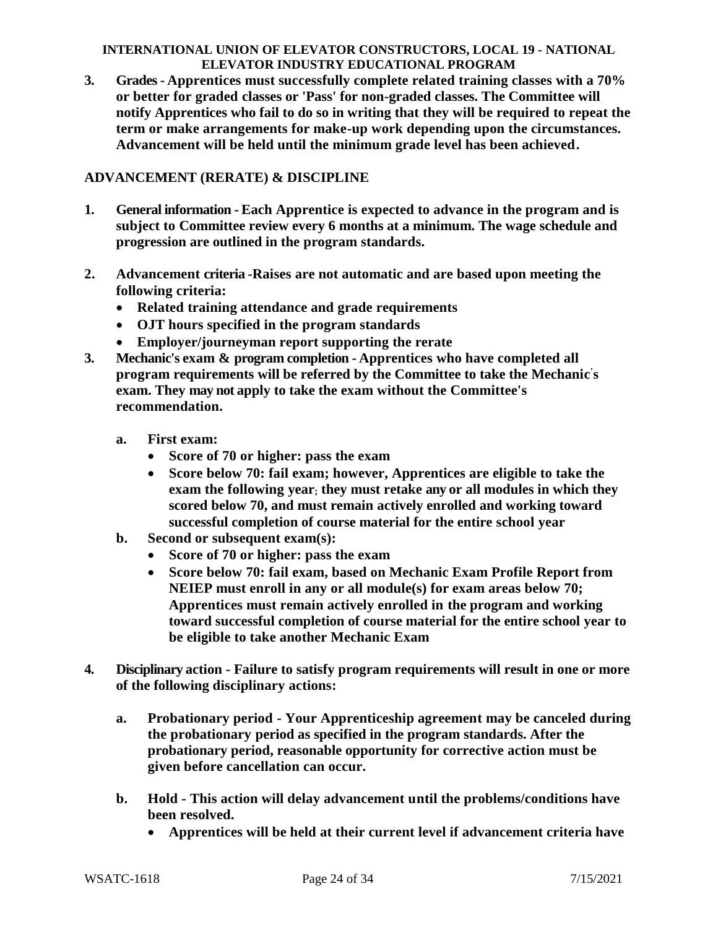**3. Grades - Apprentices must successfully complete related training classes with a 70% or better for graded classes or 'Pass' for non-graded classes. The Committee will notify Apprentices who fail to do so in writing that they will be required to repeat the term or make arrangements for make-up work depending upon the circumstances. Advancement will be held until the minimum grade level has been achieved.**

# **ADVANCEMENT (RERATE) & DISCIPLINE**

- **1. General information - Each Apprentice is expected to advance in the program and is subject to Committee review every 6 months at a minimum. The wage schedule and progression are outlined in the program standards.**
- **2. Advancement criteria -Raises are not automatic and are based upon meeting the following criteria:**
	- **Related training attendance and grade requirements**
	- **OJT hours specified in the program standards**
	- **Employer/journeyman report supporting the rerate**
- **3. Mechanic's exam & program completion - Apprentices who have completed all program requirements will be referred by the Committee to take the Mechanic ' s exam. They may not apply to take the exam without the Committee's recommendation.**
	- **a. First exam:**
		- **Score of 70 or higher: pass the exam**
		- **Score below 70: fail exam; however, Apprentices are eligible to take the exam the following year; they must retake any or all modules in which they scored below 70, and must remain actively enrolled and working toward successful completion of course material for the entire school year**
	- **b. Second or subsequent exam(s):**
		- **Score of 70 or higher: pass the exam**
		- **Score below 70: fail exam, based on Mechanic Exam Profile Report from NEIEP must enroll in any or all module(s) for exam areas below 70; Apprentices must remain actively enrolled in the program and working toward successful completion of course material for the entire school year to be eligible to take another Mechanic Exam**
- **4. Disciplinary action - Failure to satisfy program requirements will result in one or more of the following disciplinary actions:**
	- **a. Probationary period - Your Apprenticeship agreement may be canceled during the probationary period as specified in the program standards. After the probationary period, reasonable opportunity for corrective action must be given before cancellation can occur.**
	- **b. Hold - This action will delay advancement until the problems/conditions have been resolved.**
		- **Apprentices will be held at their current level if advancement criteria have**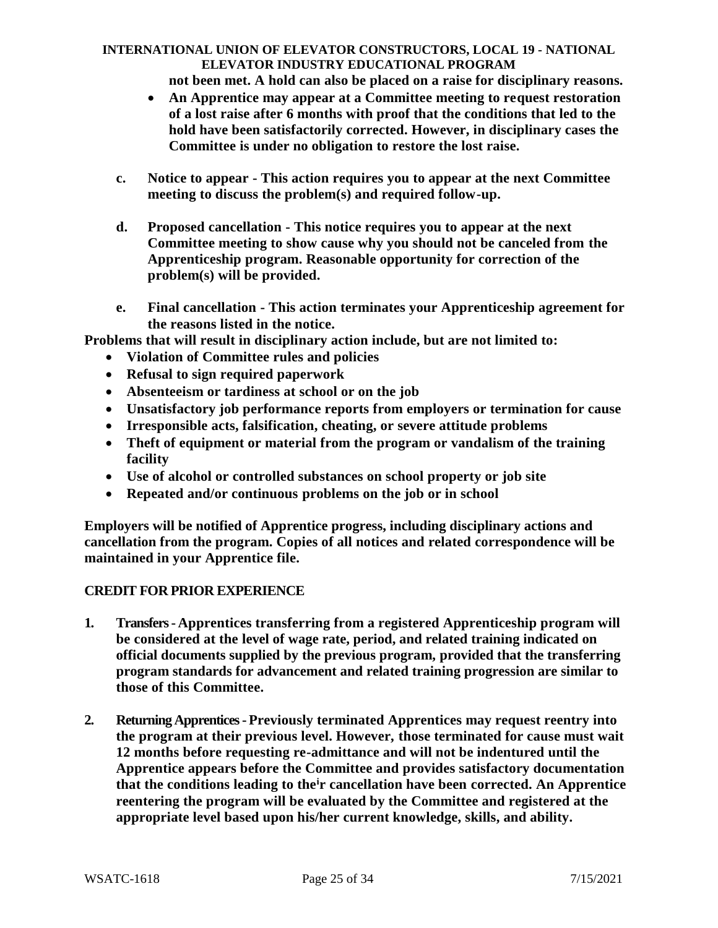**not been met. A hold can also be placed on a raise for disciplinary reasons.**

- **An Apprentice may appear at a Committee meeting to request restoration of a lost raise after 6 months with proof that the conditions that led to the hold have been satisfactorily corrected. However, in disciplinary cases the Committee is under no obligation to restore the lost raise.**
- **c. Notice to appear - This action requires you to appear at the next Committee meeting to discuss the problem(s) and required follow-up.**
- **d. Proposed cancellation - This notice requires you to appear at the next Committee meeting to show cause why you should not be canceled from the Apprenticeship program. Reasonable opportunity for correction of the problem(s) will be provided.**
- **e. Final cancellation - This action terminates your Apprenticeship agreement for the reasons listed in the notice.**

**Problems that will result in disciplinary action include, but are not limited to:**

- **Violation of Committee rules and policies**
- **Refusal to sign required paperwork**
- **Absenteeism or tardiness at school or on the job**
- **Unsatisfactory job performance reports from employers or termination for cause**
- **Irresponsible acts, falsification, cheating, or severe attitude problems**
- **Theft of equipment or material from the program or vandalism of the training facility**
- **Use of alcohol or controlled substances on school property or job site**
- **Repeated and/or continuous problems on the job or in school**

**Employers will be notified of Apprentice progress, including disciplinary actions and cancellation from the program. Copies of all notices and related correspondence will be maintained in your Apprentice file.**

### **CREDIT FOR PRIOR EXPERIENCE**

- **1. Transfers - Apprentices transferring from a registered Apprenticeship program will be considered at the level of wage rate, period, and related training indicated on official documents supplied by the previous program, provided that the transferring program standards for advancement and related training progression are similar to those of this Committee.**
- **2. Returning Apprentices - Previously terminated Apprentices may request reentry into the program at their previous level. However, those terminated for cause must wait 12 months before requesting re-admittance and will not be indentured until the Apprentice appears before the Committee and provides satisfactory documentation that the conditions leading to the<sup>i</sup>r cancellation have been corrected. An Apprentice reentering the program will be evaluated by the Committee and registered at the appropriate level based upon his/her current knowledge, skills, and ability.**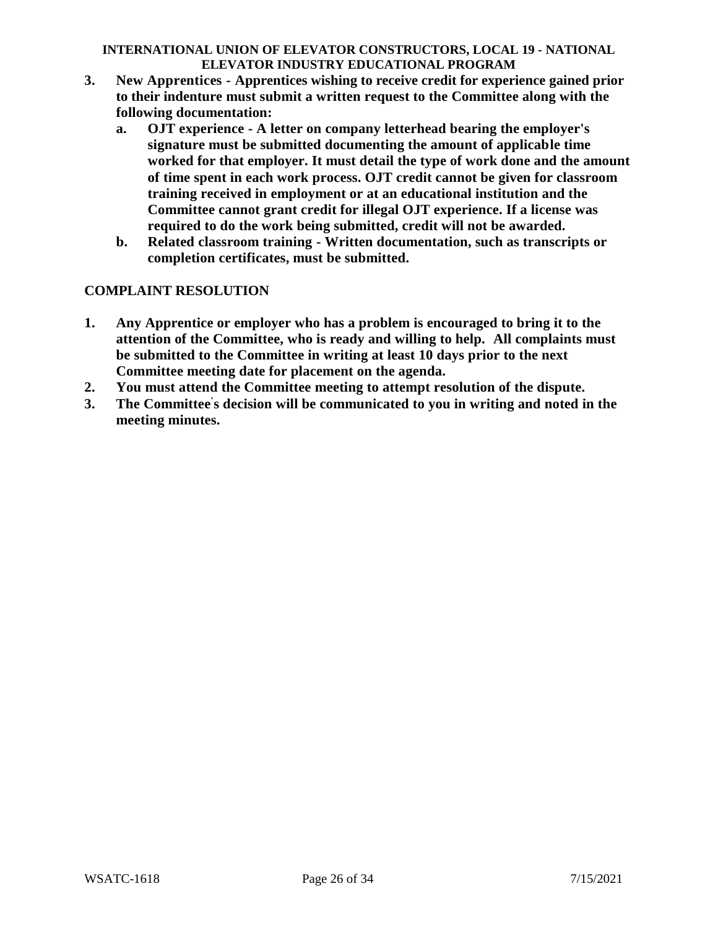- **3. New Apprentices - Apprentices wishing to receive credit for experience gained prior to their indenture must submit a written request to the Committee along with the following documentation:**
	- **a. OJT experience - A letter on company letterhead bearing the employer's signature must be submitted documenting the amount of applicable time worked for that employer. It must detail the type of work done and the amount of time spent in each work process. OJT credit cannot be given for classroom training received in employment or at an educational institution and the Committee cannot grant credit for illegal OJT experience. If a license was required to do the work being submitted, credit will not be awarded.**
	- **b. Related classroom training - Written documentation, such as transcripts or completion certificates, must be submitted.**

# **COMPLAINT RESOLUTION**

- **1. Any Apprentice or employer who has a problem is encouraged to bring it to the attention of the Committee, who is ready and willing to help. All complaints must be submitted to the Committee in writing at least 10 days prior to the next Committee meeting date for placement on the agenda.**
- **2. You must attend the Committee meeting to attempt resolution of the dispute.**
- **3. The Committee' s decision will be communicated to you in writing and noted in the meeting minutes.**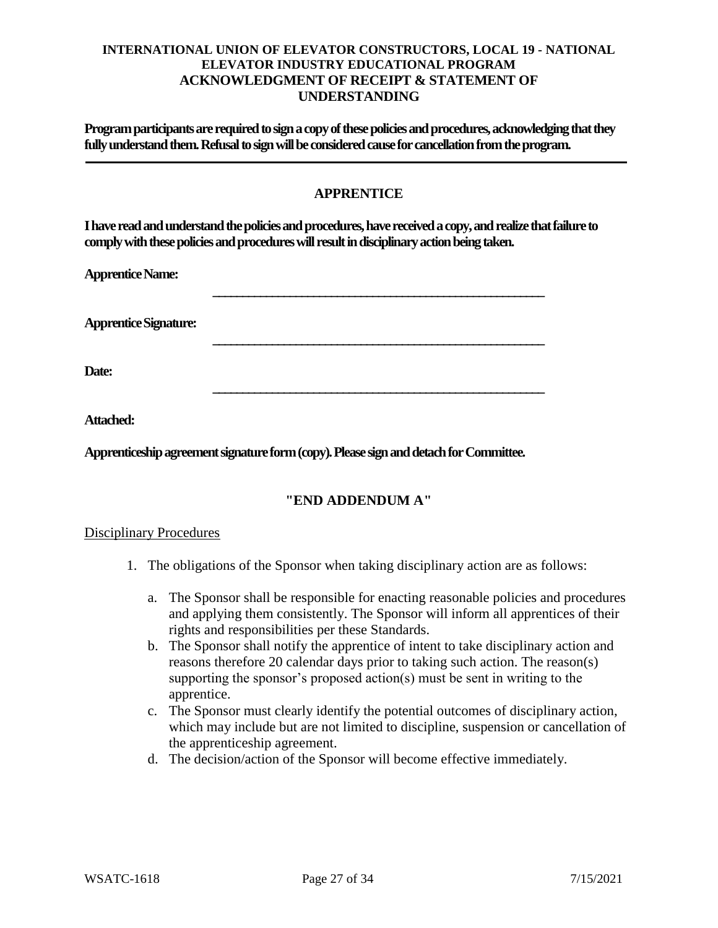### **INTERNATIONAL UNION OF ELEVATOR CONSTRUCTORS, LOCAL 19 - NATIONAL ELEVATOR INDUSTRY EDUCATIONAL PROGRAM ACKNOWLEDGMENT OF RECEIPT & STATEMENT OF UNDERSTANDING**

**Program participants are required to sign a copy of these policies and procedures, acknowledging that they fully understand them. Refusal to sign will be considered cause for cancellation from the program.**

# **APPRENTICE**

**\_\_\_\_\_\_\_\_\_\_\_\_\_\_\_\_\_\_\_\_\_\_\_\_\_\_\_\_\_\_\_\_\_\_\_\_\_\_\_\_\_\_\_\_\_\_\_\_\_\_\_\_\_\_\_\_**

**\_\_\_\_\_\_\_\_\_\_\_\_\_\_\_\_\_\_\_\_\_\_\_\_\_\_\_\_\_\_\_\_\_\_\_\_\_\_\_\_\_\_\_\_\_\_\_\_\_\_\_\_\_\_\_\_**

**\_\_\_\_\_\_\_\_\_\_\_\_\_\_\_\_\_\_\_\_\_\_\_\_\_\_\_\_\_\_\_\_\_\_\_\_\_\_\_\_\_\_\_\_\_\_\_\_\_\_\_\_\_\_\_\_**

**I have read and understand the policies and procedures, have received a copy, and realize that failure to comply with these policies and procedures will result in disciplinary action being taken.**

**Apprentice Name:**

**Apprentice Signature:**

**Date:**

**Attached:**

**Apprenticeship agreement signature form (copy). Please sign and detach for Committee.**

# **"END ADDENDUM A"**

#### Disciplinary Procedures

- 1. The obligations of the Sponsor when taking disciplinary action are as follows:
	- a. The Sponsor shall be responsible for enacting reasonable policies and procedures and applying them consistently. The Sponsor will inform all apprentices of their rights and responsibilities per these Standards.
	- b. The Sponsor shall notify the apprentice of intent to take disciplinary action and reasons therefore 20 calendar days prior to taking such action. The reason(s) supporting the sponsor's proposed action(s) must be sent in writing to the apprentice.
	- c. The Sponsor must clearly identify the potential outcomes of disciplinary action, which may include but are not limited to discipline, suspension or cancellation of the apprenticeship agreement.
	- d. The decision/action of the Sponsor will become effective immediately.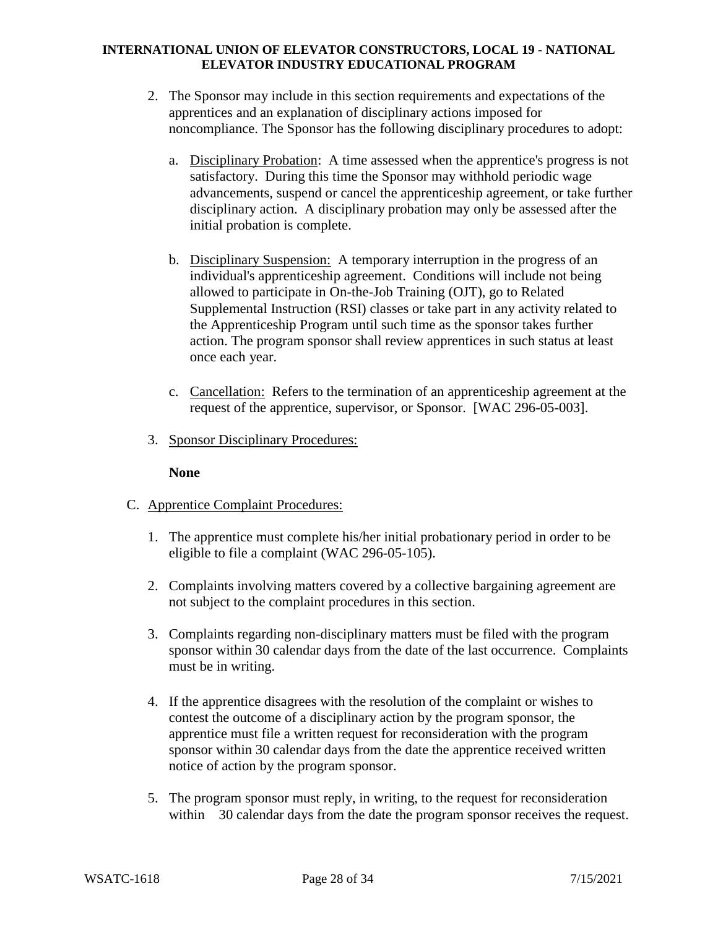- 2. The Sponsor may include in this section requirements and expectations of the apprentices and an explanation of disciplinary actions imposed for noncompliance. The Sponsor has the following disciplinary procedures to adopt:
	- a. Disciplinary Probation: A time assessed when the apprentice's progress is not satisfactory. During this time the Sponsor may withhold periodic wage advancements, suspend or cancel the apprenticeship agreement, or take further disciplinary action. A disciplinary probation may only be assessed after the initial probation is complete.
	- b. Disciplinary Suspension: A temporary interruption in the progress of an individual's apprenticeship agreement. Conditions will include not being allowed to participate in On-the-Job Training (OJT), go to Related Supplemental Instruction (RSI) classes or take part in any activity related to the Apprenticeship Program until such time as the sponsor takes further action. The program sponsor shall review apprentices in such status at least once each year.
	- c. Cancellation: Refers to the termination of an apprenticeship agreement at the request of the apprentice, supervisor, or Sponsor. [WAC 296-05-003].
- 3. Sponsor Disciplinary Procedures:

### **None**

- C. Apprentice Complaint Procedures:
	- 1. The apprentice must complete his/her initial probationary period in order to be eligible to file a complaint (WAC 296-05-105).
	- 2. Complaints involving matters covered by a collective bargaining agreement are not subject to the complaint procedures in this section.
	- 3. Complaints regarding non-disciplinary matters must be filed with the program sponsor within 30 calendar days from the date of the last occurrence. Complaints must be in writing.
	- 4. If the apprentice disagrees with the resolution of the complaint or wishes to contest the outcome of a disciplinary action by the program sponsor, the apprentice must file a written request for reconsideration with the program sponsor within 30 calendar days from the date the apprentice received written notice of action by the program sponsor.
	- 5. The program sponsor must reply, in writing, to the request for reconsideration within 30 calendar days from the date the program sponsor receives the request.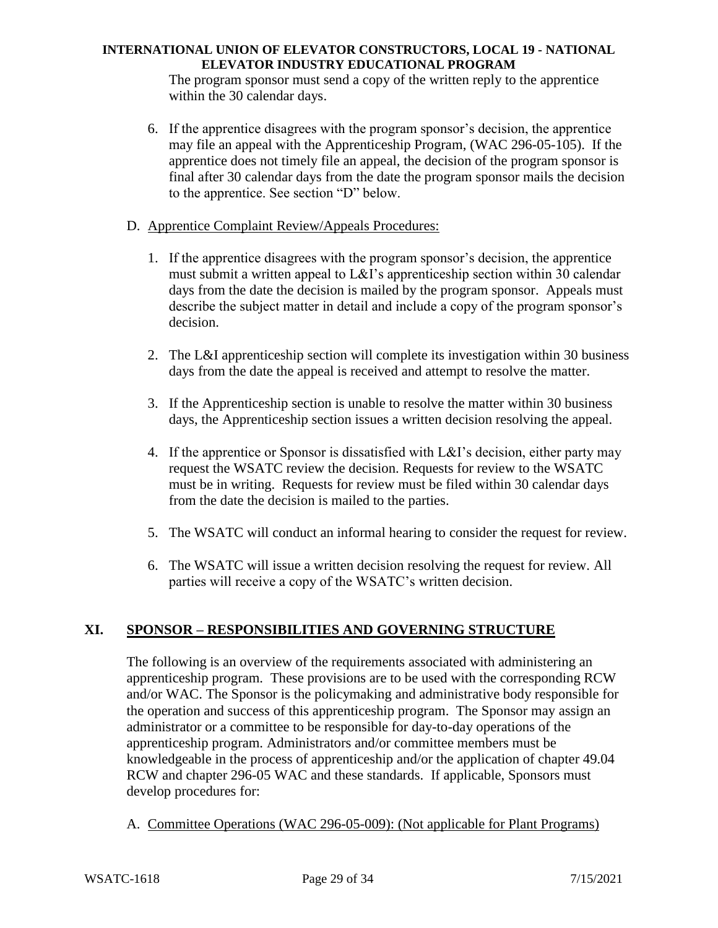The program sponsor must send a copy of the written reply to the apprentice within the 30 calendar days.

- 6. If the apprentice disagrees with the program sponsor's decision, the apprentice may file an appeal with the Apprenticeship Program, (WAC 296-05-105). If the apprentice does not timely file an appeal, the decision of the program sponsor is final after 30 calendar days from the date the program sponsor mails the decision to the apprentice. See section "D" below.
- D. Apprentice Complaint Review/Appeals Procedures:
	- 1. If the apprentice disagrees with the program sponsor's decision, the apprentice must submit a written appeal to L&I's apprenticeship section within 30 calendar days from the date the decision is mailed by the program sponsor. Appeals must describe the subject matter in detail and include a copy of the program sponsor's decision.
	- 2. The L&I apprenticeship section will complete its investigation within 30 business days from the date the appeal is received and attempt to resolve the matter.
	- 3. If the Apprenticeship section is unable to resolve the matter within 30 business days, the Apprenticeship section issues a written decision resolving the appeal.
	- 4. If the apprentice or Sponsor is dissatisfied with L&I's decision, either party may request the WSATC review the decision. Requests for review to the WSATC must be in writing. Requests for review must be filed within 30 calendar days from the date the decision is mailed to the parties.
	- 5. The WSATC will conduct an informal hearing to consider the request for review.
	- 6. The WSATC will issue a written decision resolving the request for review. All parties will receive a copy of the WSATC's written decision.

# **XI. SPONSOR – RESPONSIBILITIES AND GOVERNING STRUCTURE**

The following is an overview of the requirements associated with administering an apprenticeship program. These provisions are to be used with the corresponding RCW and/or WAC. The Sponsor is the policymaking and administrative body responsible for the operation and success of this apprenticeship program. The Sponsor may assign an administrator or a committee to be responsible for day-to-day operations of the apprenticeship program. Administrators and/or committee members must be knowledgeable in the process of apprenticeship and/or the application of chapter 49.04 RCW and chapter 296-05 WAC and these standards. If applicable, Sponsors must develop procedures for:

A. Committee Operations (WAC 296-05-009): (Not applicable for Plant Programs)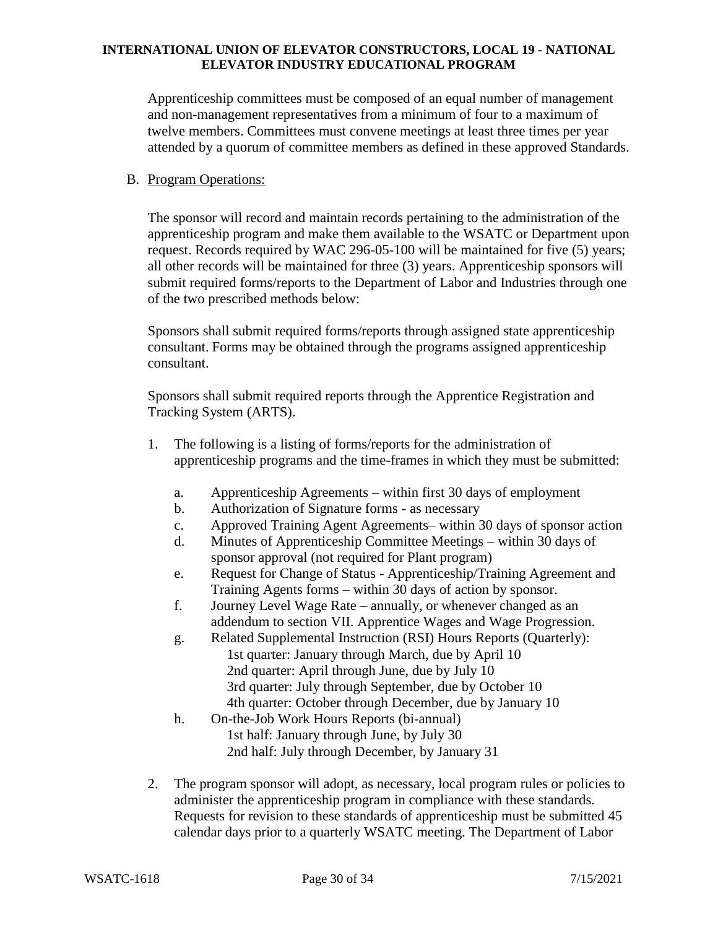Apprenticeship committees must be composed of an equal number of management and non-management representatives from a minimum of four to a maximum of twelve members. Committees must convene meetings at least three times per year attended by a quorum of committee members as defined in these approved Standards.

#### B. Program Operations:

The sponsor will record and maintain records pertaining to the administration of the apprenticeship program and make them available to the WSATC or Department upon request. Records required by WAC 296-05-100 will be maintained for five (5) years; all other records will be maintained for three (3) years. Apprenticeship sponsors will submit required forms/reports to the Department of Labor and Industries through one of the two prescribed methods below:

Sponsors shall submit required forms/reports through assigned state apprenticeship consultant. Forms may be obtained through the programs assigned apprenticeship consultant.

Sponsors shall submit required reports through the Apprentice Registration and Tracking System (ARTS).

- 1. The following is a listing of forms/reports for the administration of apprenticeship programs and the time-frames in which they must be submitted:
	- a. Apprenticeship Agreements within first 30 days of employment
	- b. Authorization of Signature forms as necessary
	- c. Approved Training Agent Agreements– within 30 days of sponsor action
	- d. Minutes of Apprenticeship Committee Meetings within 30 days of sponsor approval (not required for Plant program)
	- e. Request for Change of Status Apprenticeship/Training Agreement and Training Agents forms – within 30 days of action by sponsor.
	- f. Journey Level Wage Rate annually, or whenever changed as an addendum to section VII. Apprentice Wages and Wage Progression.
	- g. Related Supplemental Instruction (RSI) Hours Reports (Quarterly): 1st quarter: January through March, due by April 10 2nd quarter: April through June, due by July 10 3rd quarter: July through September, due by October 10 4th quarter: October through December, due by January 10
	- h. On-the-Job Work Hours Reports (bi-annual) 1st half: January through June, by July 30 2nd half: July through December, by January 31
- 2. The program sponsor will adopt, as necessary, local program rules or policies to administer the apprenticeship program in compliance with these standards. Requests for revision to these standards of apprenticeship must be submitted 45 calendar days prior to a quarterly WSATC meeting. The Department of Labor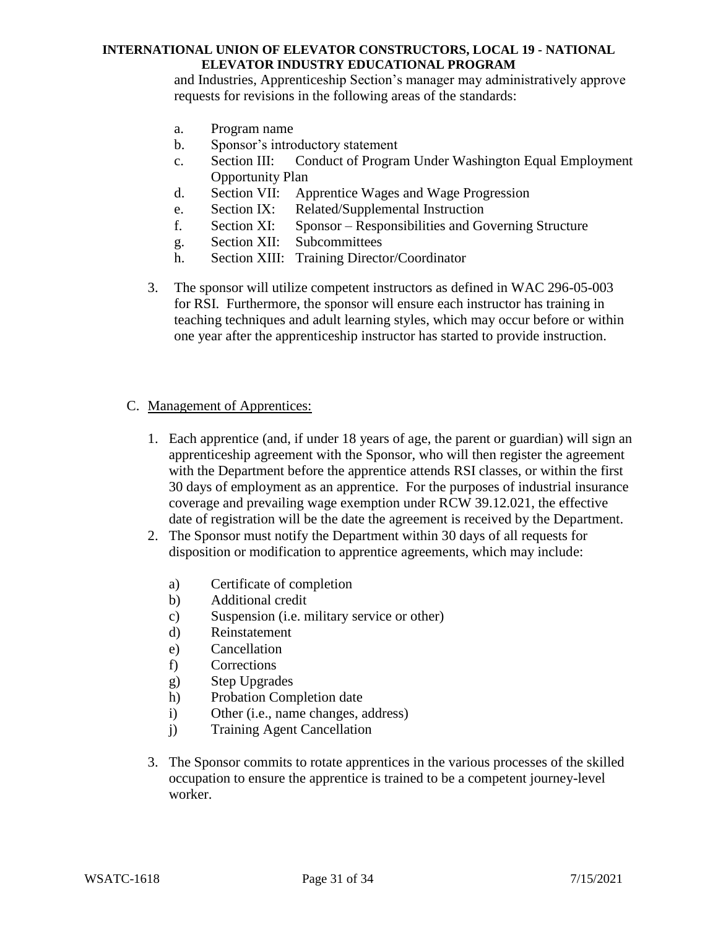and Industries, Apprenticeship Section's manager may administratively approve requests for revisions in the following areas of the standards:

- a. Program name
- b. Sponsor's introductory statement
- c. Section III: Conduct of Program Under Washington Equal Employment Opportunity Plan
- d. Section VII: Apprentice Wages and Wage Progression
- e. Section IX: Related/Supplemental Instruction
- f. Section XI: Sponsor Responsibilities and Governing Structure
- g. Section XII: Subcommittees
- h. Section XIII: Training Director/Coordinator
- 3. The sponsor will utilize competent instructors as defined in WAC 296-05-003 for RSI. Furthermore, the sponsor will ensure each instructor has training in teaching techniques and adult learning styles, which may occur before or within one year after the apprenticeship instructor has started to provide instruction.

### C. Management of Apprentices:

- 1. Each apprentice (and, if under 18 years of age, the parent or guardian) will sign an apprenticeship agreement with the Sponsor, who will then register the agreement with the Department before the apprentice attends RSI classes, or within the first 30 days of employment as an apprentice. For the purposes of industrial insurance coverage and prevailing wage exemption under RCW 39.12.021, the effective date of registration will be the date the agreement is received by the Department.
- 2. The Sponsor must notify the Department within 30 days of all requests for disposition or modification to apprentice agreements, which may include:
	- a) Certificate of completion
	- b) Additional credit
	- c) Suspension (i.e. military service or other)
	- d) Reinstatement
	- e) Cancellation
	- f) Corrections
	- g) Step Upgrades
	- h) Probation Completion date
	- i) Other (i.e., name changes, address)
	- j) Training Agent Cancellation
- 3. The Sponsor commits to rotate apprentices in the various processes of the skilled occupation to ensure the apprentice is trained to be a competent journey-level worker.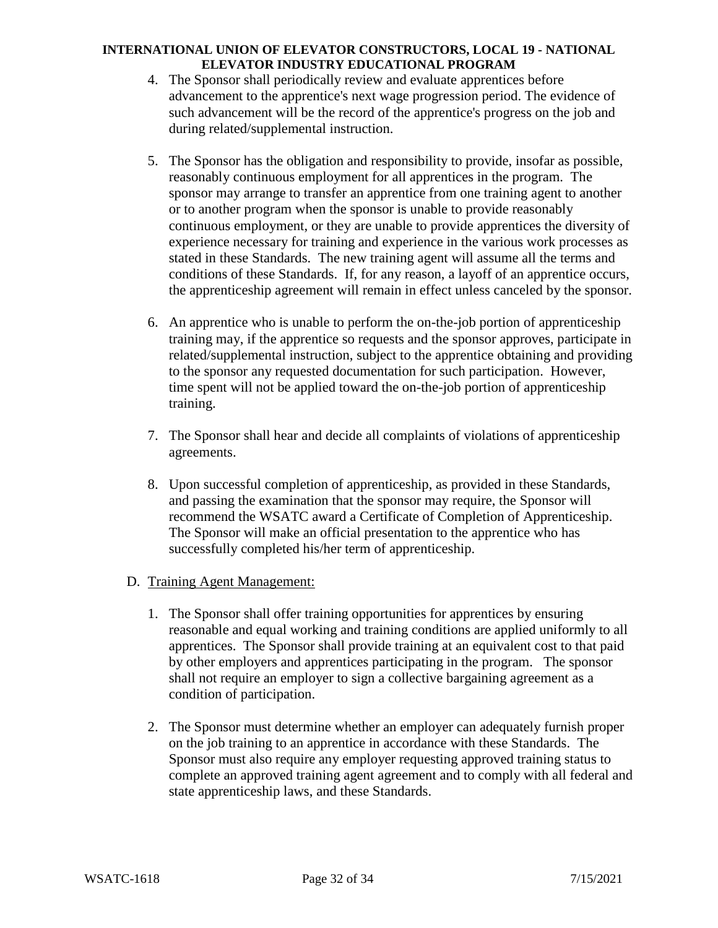- 4. The Sponsor shall periodically review and evaluate apprentices before advancement to the apprentice's next wage progression period. The evidence of such advancement will be the record of the apprentice's progress on the job and during related/supplemental instruction.
- 5. The Sponsor has the obligation and responsibility to provide, insofar as possible, reasonably continuous employment for all apprentices in the program. The sponsor may arrange to transfer an apprentice from one training agent to another or to another program when the sponsor is unable to provide reasonably continuous employment, or they are unable to provide apprentices the diversity of experience necessary for training and experience in the various work processes as stated in these Standards. The new training agent will assume all the terms and conditions of these Standards. If, for any reason, a layoff of an apprentice occurs, the apprenticeship agreement will remain in effect unless canceled by the sponsor.
- 6. An apprentice who is unable to perform the on-the-job portion of apprenticeship training may, if the apprentice so requests and the sponsor approves, participate in related/supplemental instruction, subject to the apprentice obtaining and providing to the sponsor any requested documentation for such participation. However, time spent will not be applied toward the on-the-job portion of apprenticeship training.
- 7. The Sponsor shall hear and decide all complaints of violations of apprenticeship agreements.
- 8. Upon successful completion of apprenticeship, as provided in these Standards, and passing the examination that the sponsor may require, the Sponsor will recommend the WSATC award a Certificate of Completion of Apprenticeship. The Sponsor will make an official presentation to the apprentice who has successfully completed his/her term of apprenticeship.

### D. Training Agent Management:

- 1. The Sponsor shall offer training opportunities for apprentices by ensuring reasonable and equal working and training conditions are applied uniformly to all apprentices. The Sponsor shall provide training at an equivalent cost to that paid by other employers and apprentices participating in the program. The sponsor shall not require an employer to sign a collective bargaining agreement as a condition of participation.
- 2. The Sponsor must determine whether an employer can adequately furnish proper on the job training to an apprentice in accordance with these Standards. The Sponsor must also require any employer requesting approved training status to complete an approved training agent agreement and to comply with all federal and state apprenticeship laws, and these Standards.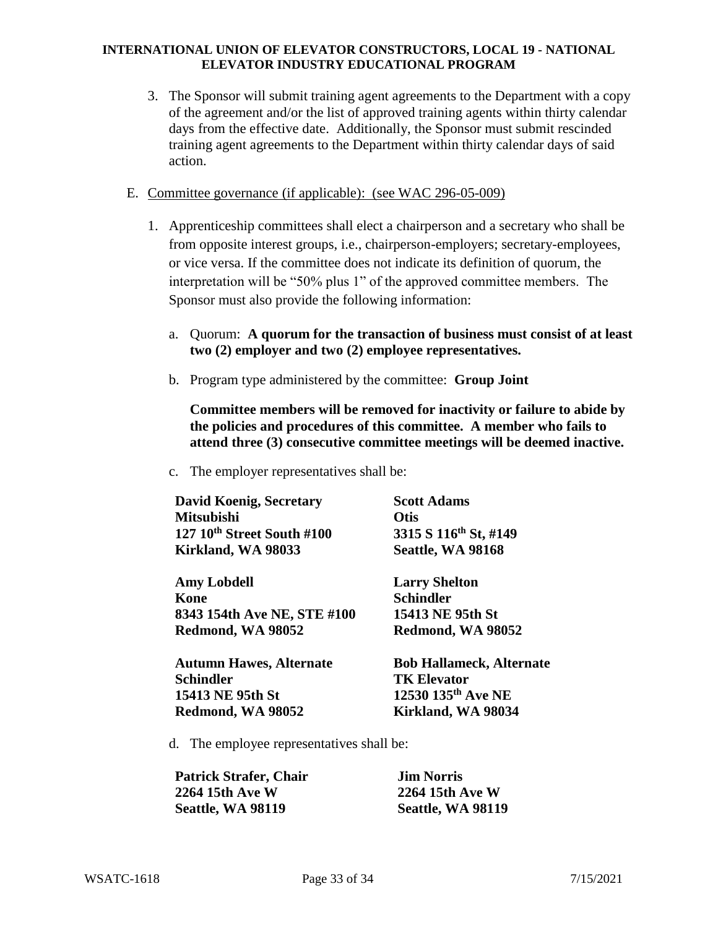- 3. The Sponsor will submit training agent agreements to the Department with a copy of the agreement and/or the list of approved training agents within thirty calendar days from the effective date. Additionally, the Sponsor must submit rescinded training agent agreements to the Department within thirty calendar days of said action.
- E. Committee governance (if applicable): (see WAC 296-05-009)
	- 1. Apprenticeship committees shall elect a chairperson and a secretary who shall be from opposite interest groups, i.e., chairperson-employers; secretary-employees, or vice versa. If the committee does not indicate its definition of quorum, the interpretation will be "50% plus 1" of the approved committee members. The Sponsor must also provide the following information:
		- a. Quorum: **A quorum for the transaction of business must consist of at least two (2) employer and two (2) employee representatives.**
		- b. Program type administered by the committee: **Group Joint**

**Committee members will be removed for inactivity or failure to abide by the policies and procedures of this committee. A member who fails to attend three (3) consecutive committee meetings will be deemed inactive.**

c. The employer representatives shall be:

| <b>David Koenig, Secretary</b> | <b>Scott Adams</b>              |  |
|--------------------------------|---------------------------------|--|
| <b>Mitsubishi</b>              | <b>Otis</b>                     |  |
| 127 10th Street South #100     | 3315 S 116th St, #149           |  |
| Kirkland, WA 98033             | Seattle, WA 98168               |  |
| <b>Amy Lobdell</b>             | <b>Larry Shelton</b>            |  |
| Kone                           | <b>Schindler</b>                |  |
| 8343 154th Ave NE, STE #100    | 15413 NE 95th St                |  |
| Redmond, WA 98052              | Redmond, WA 98052               |  |
| <b>Autumn Hawes, Alternate</b> | <b>Bob Hallameck, Alternate</b> |  |
| <b>Schindler</b>               | <b>TK Elevator</b>              |  |
| 15413 NE 95th St               | 12530 135th Ave NE              |  |
| Redmond, WA 98052              | Kirkland, WA 98034              |  |

d. The employee representatives shall be:

| Patrick Strafer, Chair | <b>Jim Norris</b> |
|------------------------|-------------------|
| 2264 15th Ave W        | 2264 15th Ave W   |
| Seattle, WA 98119      | Seattle, WA 98119 |